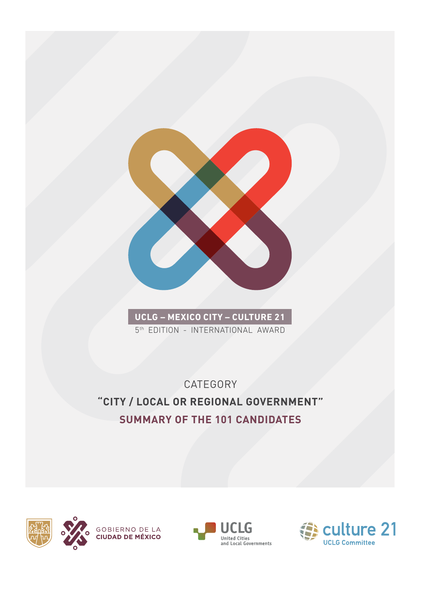

**UCLG – MEXICO CITY – CULTURE 21** 5<sup>th</sup> EDITION - INTERNATIONAL AWARD

**CATEGORY "CITY / LOCAL OR REGIONAL GOVERNMENT" SUMMARY OF THE 101 CANDIDATES**





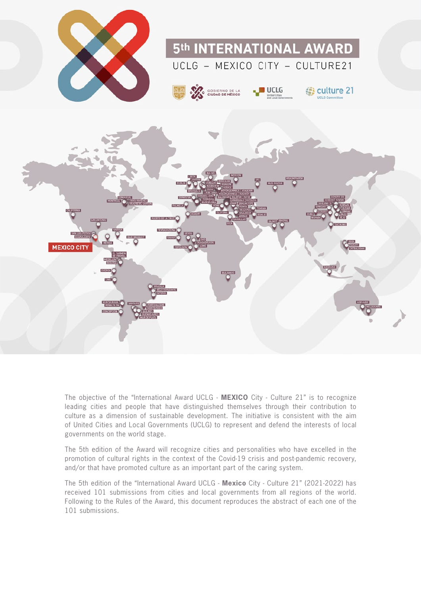

The objective of the "International Award UCLG - **MEXICO** City - Culture 21" is to recognize leading cities and people that have distinguished themselves through their contribution to culture as a dimension of sustainable development. The initiative is consistent with the aim of United Cities and Local Governments (UCLG) to represent and defend the interests of local governments on the world stage.

The 5th edition of the Award will recognize cities and personalities who have excelled in the promotion of cultural rights in the context of the Covid-19 crisis and post-pandemic recovery, and/or that have promoted culture as an important part of the caring system.

The 5th edition of the "International Award UCLG - **Mexico** City - Culture 21" (2021-2022) has received 101 submissions from cities and local governments from all regions of the world. Following to the Rules of the Award, this document reproduces the abstract of each one of the 101 submissions.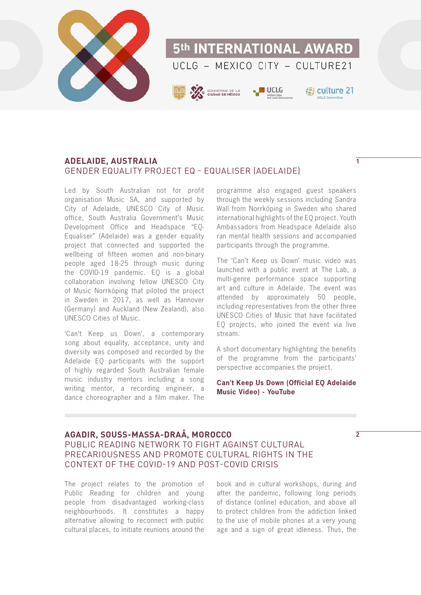

### **ADELAIDE, AUSTRALIA** GENDER EQUALITY PROJECT EQ - EQUALISER (ADELAIDE)

Led by South Australian not for profit organisation Music SA, and supported by City of Adelaide, UNESCO City of Music office, South Australia Government's Music Development Office and Headspace "EQ-Equaliser" (Adelaide) was a gender equality project that connected and supported the wellbeing of fifteen women and non-binary people aged 18-25 through music during the COVID-19 pandemic. EQ is a global collaboration involving fellow UNESCO City of Music Norrköping that piloted the project in Sweden in 2017, as well as Hannover (Germany) and Auckland (New Zealand), also UNESCO Cities of Music.

'Can't Keep us Down', a contemporary song about equality, acceptance, unity and diversity was composed and recorded by the Adelaide EQ participants with the support of highly regarded South Australian female music industry mentors including a song writing mentor, a recording engineer, a dance choreographer and a film maker. The

programme also engaged guest speakers through the weekly sessions including Sandra Wall from Norrköping in Sweden who shared international highlights of the EQ project. Youth Ambassadors from Headspace Adelaide also ran mental health sessions and accompanied participants through the programme.

The 'Can't Keep us Down' music video was launched with a public event at The Lab, a multi-genre performance space supporting art and culture in Adelaide. The event was attended by approximately 50 people, including representatives from the other three UNESCO Cities of Music that have facilitated EQ projects, who joined the event via live stream.

A short documentary highlighting the benefits of the programme from the participants' perspective accompanies the project.

**[Can't Keep Us Down \(Official EQ Adelaide](https://www.youtube.com/watch?v=rFhD6MjRBUE&feature=emb_title)  [Music Video\) - YouTube](https://www.youtube.com/watch?v=rFhD6MjRBUE&feature=emb_title)**

### **AGADIR, SOUSS-MASSA-DRAÂ, MOROCCO**

### PUBLIC READING NETWORK TO FIGHT AGAINST CULTURAL PRECARIOUSNESS AND PROMOTE CULTURAL RIGHTS IN THE CONTEXT OF THE COVID-19 AND POST-COVID CRISIS

The project relates to the promotion of Public Reading for children and young people from disadvantaged working-class neighbourhoods. It constitutes a happy alternative allowing to reconnect with public cultural places, to initiate reunions around the

book and in cultural workshops, during and after the pandemic, following long periods of distance (online) education, and above all to protect children from the addiction linked to the use of mobile phones at a very young age and a sign of great idleness. Thus, the

**2**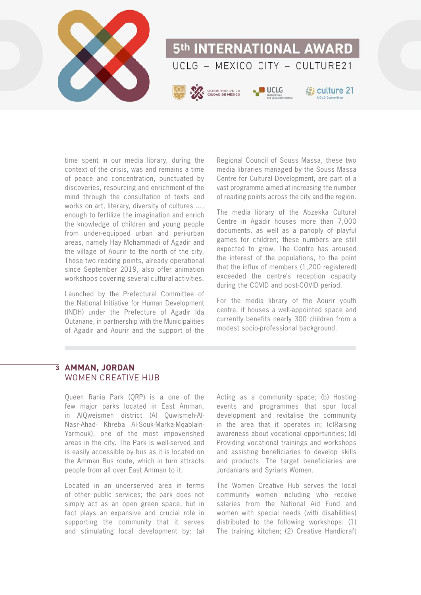

time spent in our media library, during the context of the crisis, was and remains a time of peace and concentration, punctuated by discoveries, resourcing and enrichment of the mind through the consultation of texts and works on art, literary, diversity of cultures ..., enough to fertilize the imagination and enrich the knowledge of children and young people from under-equipped urban and peri-urban areas, namely Hay Mohammadi of Agadir and the village of Aourir to the north of the city. These two reading points, already operational since September 2019, also offer animation workshops covering several cultural activities.

Launched by the Prefectural Committee of the National Initiative for Human Development (INDH) under the Prefecture of Agadir Ida Outanane, in partnership with the Municipalities of Agadir and Aourir and the support of the

Regional Council of Souss Massa, these two media libraries managed by the Souss Massa Centre for Cultural Development, are part of a vast programme aimed at increasing the number of reading points across the city and the region.

The media library of the Abzekka Cultural Centre in Agadir houses more than 7,000 documents, as well as a panoply of playful games for children; these numbers are still expected to grow. The Centre has aroused the interest of the populations, to the point that the influx of members (1,200 registered) exceeded the centre's reception capacity during the COVID and post-COVID period.

For the media library of the Aourir youth centre, it houses a well-appointed space and currently benefits nearly 300 children from a modest socio-professional background.

### $\overline{3}$  AMMAN, JORDAN WOMEN CREATIVE HUB

Queen Rania Park (QRP) is a one of the few major parks located in East Amman, in AlQweismeh district (Al Quwismeh-Al-Nasr-Ahad- Khreba Al-Souk-Marka-Mqablain-Yarmouk), one of the most impoverished areas in the city. The Park is well-served and is easily accessible by bus as it is located on the Amman Bus route, which in turn attracts people from all over East Amman to it.

Located in an underserved area in terms of other public services; the park does not simply act as an open green space, but in fact plays an expansive and crucial role in supporting the community that it serves and stimulating local development by: (a)

Acting as a community space; (b) Hosting events and programmes that spur local development and revitalise the community in the area that it operates in; (c)Raising awareness about vocational opportunities; (d) Providing vocational trainings and workshops and assisting beneficiaries to develop skills and products. The target beneficiaries are Jordanians and Syrians Women.

The Women Creative Hub serves the local community women including who receive salaries from the National Aid Fund and women with special needs (with disabilities) distributed to the following workshops: (1) The training kitchen; (2) Creative Handicraft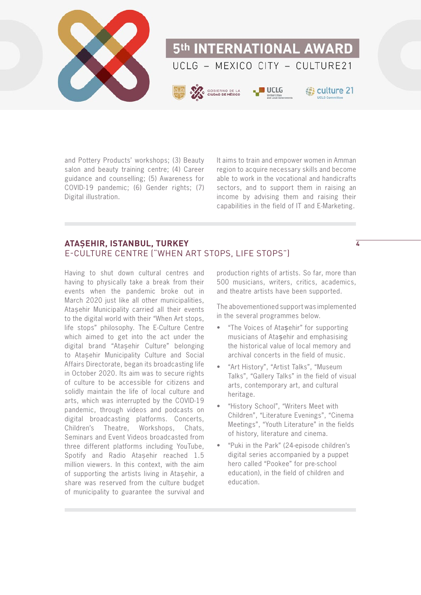

and Pottery Products' workshops; (3) Beauty salon and beauty training centre; (4) Career guidance and counselling; (5) Awareness for COVID-19 pandemic; (6) Gender rights; (7) Digital illustration.

It aims to train and empower women in Amman region to acquire necessary skills and become able to work in the vocational and handicrafts sectors, and to support them in raising an income by advising them and raising their capabilities in the field of IT and E-Marketing.

### **ATAŞEHIR, ISTANBUL, TURKEY** E-CULTURE CENTRE ("WHEN ART STOPS, LIFE STOPS")

Having to shut down cultural centres and having to physically take a break from their events when the pandemic broke out in March 2020 just like all other municipalities, Ataşehir Municipality carried all their events to the digital world with their "When Art stops, life stops" philosophy. The E-Culture Centre which aimed to get into the act under the digital brand "Ataşehir Culture" belonging to Ataşehir Municipality Culture and Social Affairs Directorate, began its broadcasting life in October 2020. Its aim was to secure rights of culture to be accessible for citizens and solidly maintain the life of local culture and arts, which was interrupted by the COVID-19 pandemic, through videos and podcasts on digital broadcasting platforms. Concerts, Children's Theatre, Workshops, Chats, Seminars and Event Videos broadcasted from three different platforms including YouTube, Spotify and Radio Atasehir reached 1.5 million viewers. In this context, with the aim of supporting the artists living in Ataşehir, a share was reserved from the culture budget of municipality to guarantee the survival and

production rights of artists. So far, more than 500 musicians, writers, critics, academics, and theatre artists have been supported.

**4**

The abovementioned support was implemented in the several programmes below.

- "The Voices of Ataşehir" for supporting musicians of Ataşehir and emphasising the historical value of local memory and archival concerts in the field of music.
- "Art History", "Artist Talks", "Museum Talks", "Gallery Talks" in the field of visual arts, contemporary art, and cultural heritage.
- "History School", "Writers Meet with Children", "Literature Evenings", "Cinema Meetings", "Youth Literature" in the fields of history, literature and cinema.
- "Puki in the Park" (24-episode children's digital series accompanied by a puppet hero called "Pookee" for pre-school education), in the field of children and education.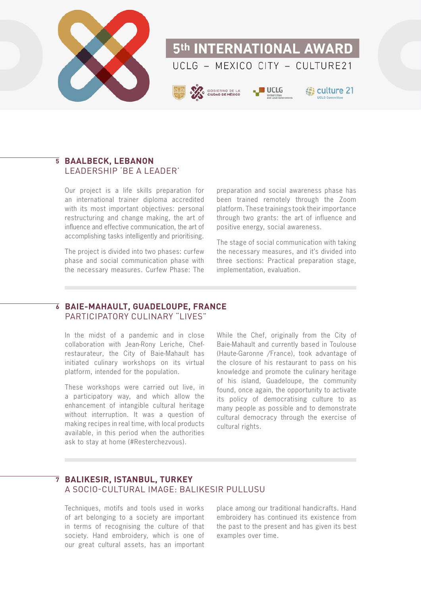

### **BAALBECK, LEBANON 5** LEADERSHIP 'BE A LEADER'

Our project is a life skills preparation for an international trainer diploma accredited with its most important objectives: personal restructuring and change making, the art of influence and effective communication, the art of accomplishing tasks intelligently and prioritising.

The project is divided into two phases: curfew phase and social communication phase with the necessary measures. Curfew Phase: The

preparation and social awareness phase has been trained remotely through the Zoom platform. These trainings took their importance through two grants: the art of influence and positive energy, social awareness.

The stage of social communication with taking the necessary measures, and it's divided into three sections: Practical preparation stage, implementation, evaluation.

### **BAIE-MAHAULT, GUADELOUPE, FRANCE 6** PARTICIPATORY CULINARY "LIVES"

In the midst of a pandemic and in close collaboration with Jean-Rony Leriche, Chefrestaurateur, the City of Baie-Mahault has initiated culinary workshops on its virtual platform, intended for the population.

These workshops were carried out live, in a participatory way, and which allow the enhancement of intangible cultural heritage without interruption. It was a question of making recipes in real time, with local products available, in this period when the authorities ask to stay at home (#Resterchezvous).

While the Chef, originally from the City of Baie-Mahault and currently based in Toulouse (Haute-Garonne /France), took advantage of the closure of his restaurant to pass on his knowledge and promote the culinary heritage of his island, Guadeloupe, the community found, once again, the opportunity to activate its policy of democratising culture to as many people as possible and to demonstrate cultural democracy through the exercise of cultural rights.

### **7 BALIKESIR, ISTANBUL, TURKEY** A SOCIO-CULTURAL IMAGE: BALIKESIR PULLUSU

Techniques, motifs and tools used in works of art belonging to a society are important in terms of recognising the culture of that society. Hand embroidery, which is one of our great cultural assets, has an important place among our traditional handicrafts. Hand embroidery has continued its existence from the past to the present and has given its best examples over time.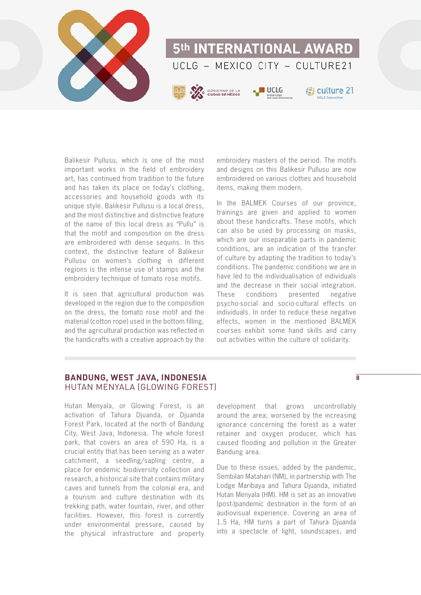

Balıkesir Pullusu, which is one of the most important works in the field of embroidery art, has continued from tradition to the future and has taken its place on today's clothing, accessories and household goods with its unique style. Balıkesir Pullusu is a local dress, and the most distinctive and distinctive feature of the name of this local dress as "Pullu" is that the motif and composition on the dress are embroidered with dense sequins. In this context, the distinctive feature of Balıkesir Pullusu on women's clothing in different regions is the intense use of stamps and the embroidery technique of tomato rose motifs.

It is seen that agricultural production was developed in the region due to the composition on the dress, the tomato rose motif and the material (cotton rope) used in the bottom filling, and the agricultural production was reflected in the handicrafts with a creative approach by the

embroidery masters of the period. The motifs and designs on this Balikesir Pullusu are now embroidered on various clothes and household items, making them modern.

In the BALMEK Courses of our province, trainings are given and applied to women about these handicrafts. These motifs, which can also be used by processing on masks, which are our inseparable parts in pandemic conditions, are an indication of the transfer of culture by adapting the tradition to today's conditions. The pandemic conditions we are in have led to the individualisation of individuals and the decrease in their social integration. These conditions presented negative psycho-social and socio-cultural effects on individuals. In order to reduce these negative effects, women in the mentioned BALMEK courses exhibit some hand skills and carry out activities within the culture of solidarity.

### **BANDUNG, WEST JAVA, INDONESIA** HUTAN MENYALA (GLOWING FOREST)

Hutan Menyala, or Glowing Forest, is an activation of Tahura Djuanda, or Djuanda Forest Park, located at the north of Bandung City, West Java, Indonesia. The whole forest park, that covers an area of 590 Ha, is a crucial entity that has been serving as a water catchment, a seedling/sapling centre, a place for endemic biodiversity collection and research, a historical site that contains military caves and tunnels from the colonial era, and a tourism and culture destination with its trekking path, water fountain, river, and other facilities. However, this forest is currently under environmental pressure, caused by the physical infrastructure and property

development that grows uncontrollably around the area; worsened by the increasing ignorance concerning the forest as a water retainer and oxygen producer, which has caused flooding and pollution in the Greater Bandung area.

Due to these issues, added by the pandemic, Sembilan Matahari (NM), in partnership with The Lodge Maribaya and Tahura Djuanda, initiated Hutan Menyala (HM). HM is set as an innovative (post-)pandemic destination in the form of an audiovisual experience. Covering an area of 1.5 Ha, HM turns a part of Tahura Djuanda into a spectacle of light, soundscapes, and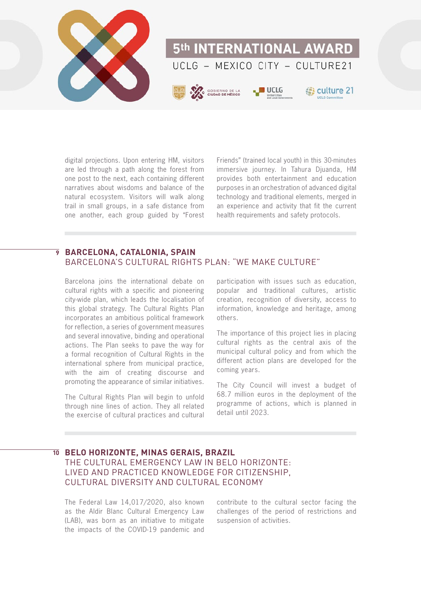

digital projections. Upon entering HM, visitors are led through a path along the forest from one post to the next, each containing different narratives about wisdoms and balance of the natural ecosystem. Visitors will walk along trail in small groups, in a safe distance from one another, each group guided by "Forest

Friends" (trained local youth) in this 30-minutes immersive journey. In Tahura Diuanda, HM provides both entertainment and education purposes in an orchestration of advanced digital technology and traditional elements, merged in an experience and activity that fit the current health requirements and safety protocols.

### **BARCELONA, CATALONIA, SPAIN 9** BARCELONA'S CULTURAL RIGHTS PLAN: "WE MAKE CULTURE"

Barcelona joins the international debate on cultural rights with a specific and pioneering city-wide plan, which leads the localisation of this global strategy. The Cultural Rights Plan incorporates an ambitious political framework for reflection, a series of government measures and several innovative, binding and operational actions. The Plan seeks to pave the way for a formal recognition of Cultural Rights in the international sphere from municipal practice, with the aim of creating discourse and promoting the appearance of similar initiatives.

The Cultural Rights Plan will begin to unfold through nine lines of action. They all related the exercise of cultural practices and cultural

participation with issues such as education, popular and traditional cultures, artistic creation, recognition of diversity, access to information, knowledge and heritage, among others.

The importance of this project lies in placing cultural rights as the central axis of the municipal cultural policy and from which the different action plans are developed for the coming years.

The City Council will invest a budget of 68.7 million euros in the deployment of the programme of actions, which is planned in detail until 2023.

### **BELO HORIZONTE, MINAS GERAIS, BRAZIL 10** THE CULTURAL EMERGENCY LAW IN BELO HORIZONTE: LIVED AND PRACTICED KNOWLEDGE FOR CITIZENSHIP, CULTURAL DIVERSITY AND CULTURAL ECONOMY

The Federal Law 14,017/2020, also known as the Aldir Blanc Cultural Emergency Law (LAB), was born as an initiative to mitigate the impacts of the COVID-19 pandemic and

contribute to the cultural sector facing the challenges of the period of restrictions and suspension of activities.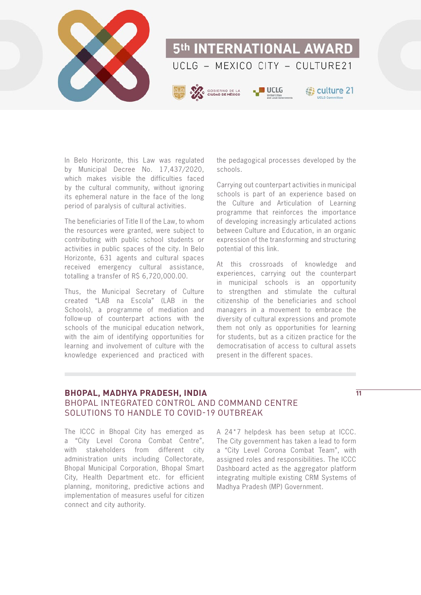

In Belo Horizonte, this Law was regulated by Municipal Decree No. 17,437/2020, which makes visible the difficulties faced by the cultural community, without ignoring its ephemeral nature in the face of the long period of paralysis of cultural activities.

The beneficiaries of Title II of the Law, to whom the resources were granted, were subject to contributing with public school students or activities in public spaces of the city. In Belo Horizonte, 631 agents and cultural spaces received emergency cultural assistance, totalling a transfer of R\$ 6,720,000.00.

Thus, the Municipal Secretary of Culture created "LAB na Escola" (LAB in the Schools), a programme of mediation and follow-up of counterpart actions with the schools of the municipal education network, with the aim of identifying opportunities for learning and involvement of culture with the knowledge experienced and practiced with the pedagogical processes developed by the schools.

Carrying out counterpart activities in municipal schools is part of an experience based on the Culture and Articulation of Learning programme that reinforces the importance of developing increasingly articulated actions between Culture and Education, in an organic expression of the transforming and structuring potential of this link.

At this crossroads of knowledge and experiences, carrying out the counterpart in municipal schools is an opportunity to strengthen and stimulate the cultural citizenship of the beneficiaries and school managers in a movement to embrace the diversity of cultural expressions and promote them not only as opportunities for learning for students, but as a citizen practice for the democratisation of access to cultural assets present in the different spaces.

### **BHOPAL, MADHYA PRADESH, INDIA** BHOPAL INTEGRATED CONTROL AND COMMAND CENTRE SOLUTIONS TO HANDLE TO COVID-19 OUTBREAK

**11**

The ICCC in Bhopal City has emerged as a "City Level Corona Combat Centre", with stakeholders from different city administration units including Collectorate, Bhopal Municipal Corporation, Bhopal Smart City, Health Department etc. for efficient planning, monitoring, predictive actions and implementation of measures useful for citizen connect and city authority.

A 24\*7 helpdesk has been setup at ICCC. The City government has taken a lead to form a "City Level Corona Combat Team", with assigned roles and responsibilities. The ICCC Dashboard acted as the aggregator platform integrating multiple existing CRM Systems of Madhya Pradesh (MP) Government.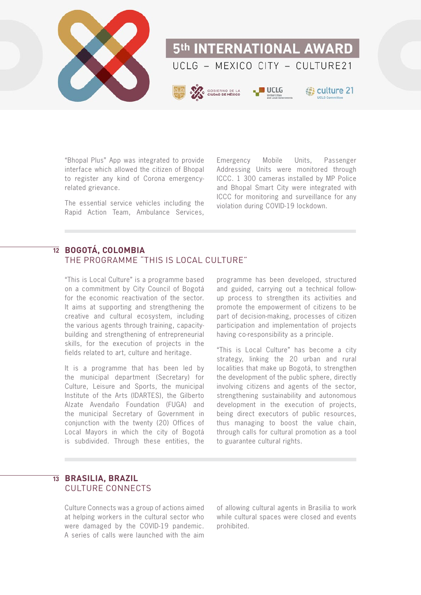

"Bhopal Plus" App was integrated to provide interface which allowed the citizen of Bhopal to register any kind of Corona emergencyrelated grievance.

The essential service vehicles including the Rapid Action Team, Ambulance Services,

Emergency Mobile Units, Passenger Addressing Units were monitored through ICCC. 1 300 cameras installed by MP Police and Bhopal Smart City were integrated with ICCC for monitoring and surveillance for any violation during COVID-19 lockdown.

### **BOGOTÁ, COLOMBIA 12** THE PROGRAMME "THIS IS LOCAL CULTURE"

"This is Local Culture" is a programme based on a commitment by City Council of Bogotá for the economic reactivation of the sector. It aims at supporting and strengthening the creative and cultural ecosystem, including the various agents through training, capacitybuilding and strengthening of entrepreneurial skills, for the execution of projects in the fields related to art, culture and heritage.

It is a programme that has been led by the municipal department (Secretary) for Culture, Leisure and Sports, the municipal Institute of the Arts (IDARTES), the Gilberto Alzate Avendaño Foundation (FUGA) and the municipal Secretary of Government in conjunction with the twenty (20) Offices of Local Mayors in which the city of Bogotá is subdivided. Through these entities, the

programme has been developed, structured and guided, carrying out a technical followup process to strengthen its activities and promote the empowerment of citizens to be part of decision-making, processes of citizen participation and implementation of projects having co-responsibility as a principle.

"This is Local Culture" has become a city strategy, linking the 20 urban and rural localities that make up Bogotá, to strengthen the development of the public sphere, directly involving citizens and agents of the sector, strengthening sustainability and autonomous development in the execution of projects, being direct executors of public resources, thus managing to boost the value chain, through calls for cultural promotion as a tool to guarantee cultural rights.

### **BRASILIA, BRAZIL 13** CULTURE CONNECTS

Culture Connects was a group of actions aimed at helping workers in the cultural sector who were damaged by the COVID-19 pandemic. A series of calls were launched with the aim

of allowing cultural agents in Brasilia to work while cultural spaces were closed and events prohibited.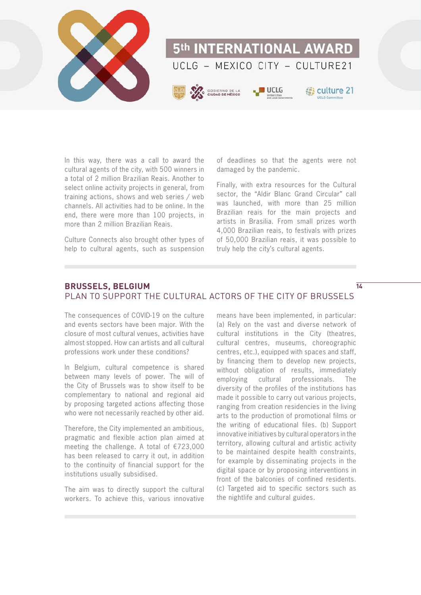

In this way, there was a call to award the cultural agents of the city, with 500 winners in a total of 2 million Brazilian Reais. Another to select online activity projects in general, from training actions, shows and web series / web channels. All activities had to be online. In the end, there were more than 100 projects, in more than 2 million Brazilian Reais.

Culture Connects also brought other types of help to cultural agents, such as suspension of deadlines so that the agents were not damaged by the pandemic.

Finally, with extra resources for the Cultural sector, the "Aldir Blanc Grand Circular" call was launched, with more than 25 million Brazilian reais for the main projects and artists in Brasilia. From small prizes worth 4,000 Brazilian reais, to festivals with prizes of 50,000 Brazilian reais, it was possible to truly help the city's cultural agents.

**14**

### **BRUSSELS, BELGIUM** PLAN TO SUPPORT THE CULTURAL ACTORS OF THE CITY OF BRUSSELS

The consequences of COVID-19 on the culture and events sectors have been major. With the closure of most cultural venues, activities have almost stopped. How can artists and all cultural professions work under these conditions?

In Belgium, cultural competence is shared between many levels of power. The will of the City of Brussels was to show itself to be complementary to national and regional aid by proposing targeted actions affecting those who were not necessarily reached by other aid.

Therefore, the City implemented an ambitious, pragmatic and flexible action plan aimed at meeting the challenge. A total of €723,000 has been released to carry it out, in addition to the continuity of financial support for the institutions usually subsidised.

The aim was to directly support the cultural workers. To achieve this, various innovative

means have been implemented, in particular: (a) Rely on the vast and diverse network of cultural institutions in the City (theatres, cultural centres, museums, choreographic centres, etc.), equipped with spaces and staff, by financing them to develop new projects, without obligation of results, immediately employing cultural professionals. The diversity of the profiles of the institutions has made it possible to carry out various projects, ranging from creation residencies in the living arts to the production of promotional films or the writing of educational files. (b) Support innovative initiatives by cultural operators in the territory, allowing cultural and artistic activity to be maintained despite health constraints, for example by disseminating projects in the digital space or by proposing interventions in front of the balconies of confined residents. (c) Targeted aid to specific sectors such as the nightlife and cultural guides.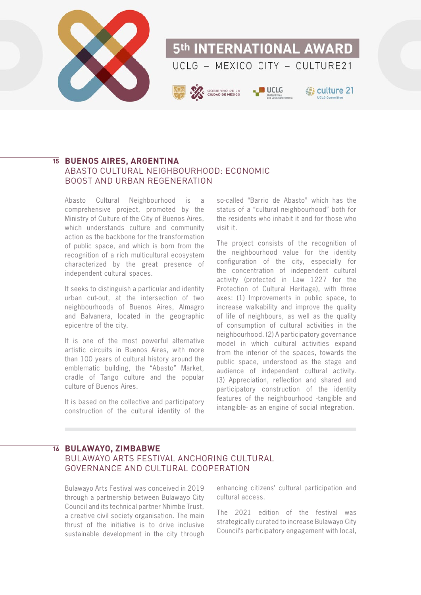

### **BUENOS AIRES, ARGENTINA 15** ABASTO CULTURAL NEIGHBOURHOOD: ECONOMIC BOOST AND URBAN REGENERATION

Abasto Cultural Neighbourhood is a comprehensive project, promoted by the Ministry of Culture of the City of Buenos Aires, which understands culture and community action as the backbone for the transformation of public space, and which is born from the recognition of a rich multicultural ecosystem characterized by the great presence of independent cultural spaces.

It seeks to distinguish a particular and identity urban cut-out, at the intersection of two neighbourhoods of Buenos Aires, Almagro and Balvanera, located in the geographic epicentre of the city.

It is one of the most powerful alternative artistic circuits in Buenos Aires, with more than 100 years of cultural history around the emblematic building, the "Abasto" Market, cradle of Tango culture and the popular culture of Buenos Aires.

It is based on the collective and participatory construction of the cultural identity of the

so-called "Barrio de Abasto" which has the status of a "cultural neighbourhood" both for the residents who inhabit it and for those who visit it.

The project consists of the recognition of the neighbourhood value for the identity configuration of the city, especially for the concentration of independent cultural activity (protected in Law 1227 for the Protection of Cultural Heritage), with three axes: (1) Improvements in public space, to increase walkability and improve the quality of life of neighbours, as well as the quality of consumption of cultural activities in the neighbourhood. (2) A participatory governance model in which cultural activities expand from the interior of the spaces, towards the public space, understood as the stage and audience of independent cultural activity. (3) Appreciation, reflection and shared and participatory construction of the identity features of the neighbourhood -tangible and intangible- as an engine of social integration.

### **BULAWAYO, ZIMBABWE 16**

### BULAWAYO ARTS FESTIVAL ANCHORING CULTURAL GOVERNANCE AND CULTURAL COOPERATION

Bulawayo Arts Festival was conceived in 2019 through a partnership between Bulawayo City Council and its technical partner Nhimbe Trust, a creative civil society organisation. The main thrust of the initiative is to drive inclusive sustainable development in the city through

enhancing citizens' cultural participation and cultural access.

The 2021 edition of the festival was strategically curated to increase Bulawayo City Council's participatory engagement with local,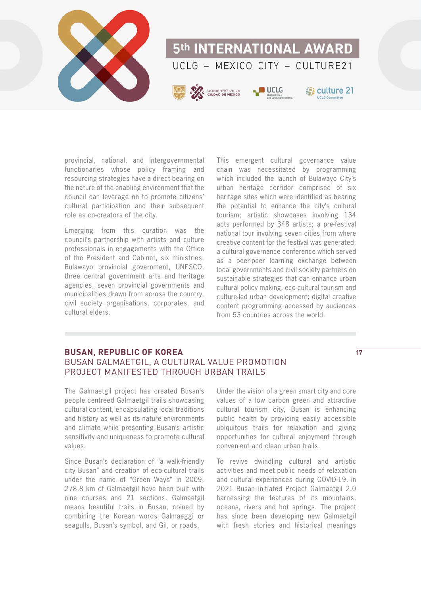

provincial, national, and intergovernmental functionaries whose policy framing and resourcing strategies have a direct bearing on the nature of the enabling environment that the council can leverage on to promote citizens' cultural participation and their subsequent role as co-creators of the city.

Emerging from this curation was the council's partnership with artists and culture professionals in engagements with the Office of the President and Cabinet, six ministries, Bulawayo provincial government, UNESCO, three central government arts and heritage agencies, seven provincial governments and municipalities drawn from across the country, civil society organisations, corporates, and cultural elders.

This emergent cultural governance value chain was necessitated by programming which included the launch of Bulawayo City's urban heritage corridor comprised of six heritage sites which were identified as bearing the potential to enhance the city's cultural tourism; artistic showcases involving 134 acts performed by 348 artists; a pre-festival national tour involving seven cities from where creative content for the festival was generated; a cultural governance conference which served as a peer-peer learning exchange between local governments and civil society partners on sustainable strategies that can enhance urban cultural policy making, eco-cultural tourism and culture-led urban development; digital creative content programming accessed by audiences from 53 countries across the world.

### **BUSAN, REPUBLIC OF KOREA** BUSAN GALMAETGIL, A CULTURAL VALUE PROMOTION PROJECT MANIFESTED THROUGH URBAN TRAILS

The Galmaetgil project has created Busan's people centreed Galmaetgil trails showcasing cultural content, encapsulating local traditions and history as well as its nature environments and climate while presenting Busan's artistic sensitivity and uniqueness to promote cultural values.

Since Busan's declaration of "a walk-friendly city Busan" and creation of eco-cultural trails under the name of "Green Ways" in 2009, 278.8 km of Galmaetgil have been built with nine courses and 21 sections. Galmaetgil means beautiful trails in Busan, coined by combining the Korean words Galmaeggi or seagulls, Busan's symbol, and Gil, or roads.

Under the vision of a green smart city and core values of a low carbon green and attractive cultural tourism city, Busan is enhancing public health by providing easily accessible ubiquitous trails for relaxation and giving opportunities for cultural enjoyment through convenient and clean urban trails.

To revive dwindling cultural and artistic activities and meet public needs of relaxation and cultural experiences during COVID-19, in 2021 Busan initiated Project Galmaetgil 2.0 harnessing the features of its mountains, oceans, rivers and hot springs. The project has since been developing new Galmaetgil with fresh stories and historical meanings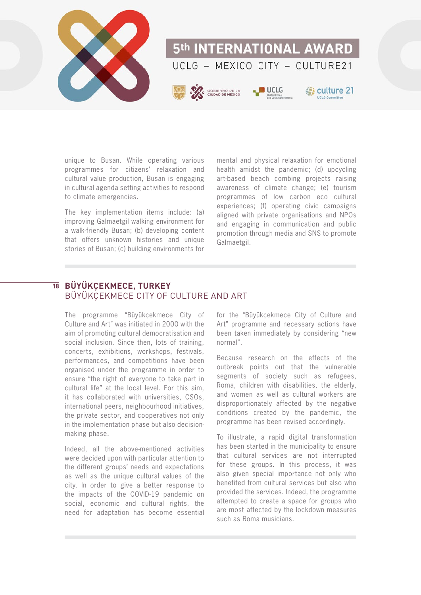

unique to Busan. While operating various programmes for citizens' relaxation and cultural value production, Busan is engaging in cultural agenda setting activities to respond to climate emergencies.

The key implementation items include: (a) improving Galmaetgil walking environment for a walk-friendly Busan; (b) developing content that offers unknown histories and unique stories of Busan; (c) building environments for

mental and physical relaxation for emotional health amidst the pandemic; (d) upcycling art-based beach combing projects raising awareness of climate change; (e) tourism programmes of low carbon eco cultural experiences; (f) operating civic campaigns aligned with private organisations and NPOs and engaging in communication and public promotion through media and SNS to promote Galmaetgil.

### $\overline{18}$  BÜYÜKÇEKMECE, TURKEY BÜYÜKÇEKMECE CITY OF CULTURE AND ART

The programme "Büyükçekmece City of Culture and Art" was initiated in 2000 with the aim of promoting cultural democratisation and social inclusion. Since then, lots of training, concerts, exhibitions, workshops, festivals, performances, and competitions have been organised under the programme in order to ensure "the right of everyone to take part in cultural life" at the local level. For this aim, it has collaborated with universities, CSOs, international peers, neighbourhood initiatives, the private sector, and cooperatives not only in the implementation phase but also decisionmaking phase.

Indeed, all the above-mentioned activities were decided upon with particular attention to the different groups' needs and expectations as well as the unique cultural values of the city. In order to give a better response to the impacts of the COVID-19 pandemic on social, economic and cultural rights, the need for adaptation has become essential for the "Büyükçekmece City of Culture and Art" programme and necessary actions have been taken immediately by considering "new normal".

Because research on the effects of the outbreak points out that the vulnerable segments of society such as refugees, Roma, children with disabilities, the elderly, and women as well as cultural workers are disproportionately affected by the negative conditions created by the pandemic, the programme has been revised accordingly.

To illustrate, a rapid digital transformation has been started in the municipality to ensure that cultural services are not interrupted for these groups. In this process, it was also given special importance not only who benefited from cultural services but also who provided the services. Indeed, the programme attempted to create a space for groups who are most affected by the lockdown measures such as Roma musicians.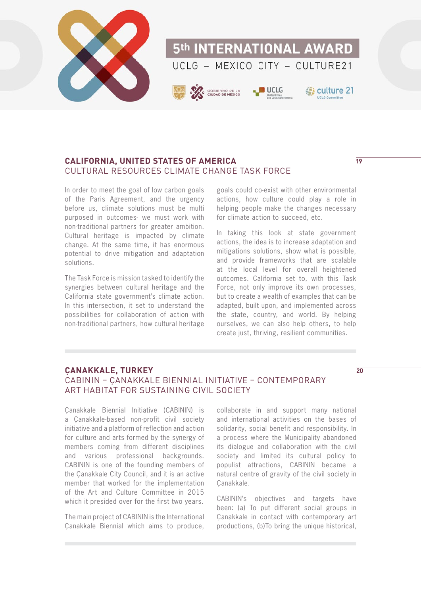

### **CALIFORNIA, UNITED STATES OF AMERICA** CULTURAL RESOURCES CLIMATE CHANGE TASK FORCE

In order to meet the goal of low carbon goals of the Paris Agreement, and the urgency before us, climate solutions must be multi purposed in outcomes- we must work with non-traditional partners for greater ambition. Cultural heritage is impacted by climate change. At the same time, it has enormous potential to drive mitigation and adaptation solutions.

The Task Force is mission tasked to identify the synergies between cultural heritage and the California state government's climate action. In this intersection, it set to understand the possibilities for collaboration of action with non-traditional partners, how cultural heritage

goals could co-exist with other environmental actions, how culture could play a role in helping people make the changes necessary for climate action to succeed, etc.

In taking this look at state government actions, the idea is to increase adaptation and mitigations solutions, show what is possible, and provide frameworks that are scalable at the local level for overall heightened outcomes. California set to, with this Task Force, not only improve its own processes, but to create a wealth of examples that can be adapted, built upon, and implemented across the state, country, and world. By helping ourselves, we can also help others, to help create just, thriving, resilient communities.

### **ÇANAKKALE, TURKEY** CABININ – ÇANAKKALE BIENNIAL INITIATIVE – CONTEMPORARY ART HABITAT FOR SUSTAINING CIVIL SOCIETY

Çanakkale Biennial Initiative (CABININ) is a Çanakkale-based non-profit civil society initiative and a platform of reflection and action for culture and arts formed by the synergy of members coming from different disciplines and various professional backgrounds. CABININ is one of the founding members of the Çanakkale City Council, and it is an active member that worked for the implementation of the Art and Culture Committee in 2015 which it presided over for the first two years.

The main project of CABININ is the International Çanakkale Biennial which aims to produce,

collaborate in and support many national and international activities on the bases of solidarity, social benefit and responsibility. In a process where the Municipality abandoned its dialogue and collaboration with the civil society and limited its cultural policy to populist attractions, CABININ became a natural centre of gravity of the civil society in Çanakkale.

CABININ's objectives and targets have been: (a) To put different social groups in Çanakkale in contact with contemporary art productions, (b)To bring the unique historical,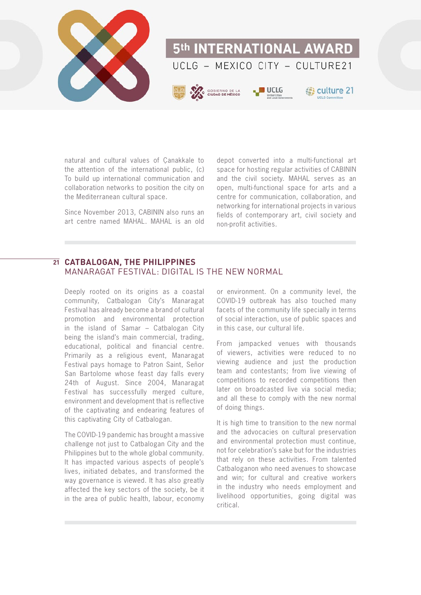

natural and cultural values of Çanakkale to the attention of the international public, (c) To build up international communication and collaboration networks to position the city on the Mediterranean cultural space.

Since November 2013, CABININ also runs an art centre named MAHAL. MAHAL is an old

depot converted into a multi-functional art space for hosting regular activities of CABININ and the civil society. MAHAL serves as an open, multi-functional space for arts and a centre for communication, collaboration, and networking for international projects in various fields of contemporary art, civil society and non-profit activities.

### **CATBALOGAN, THE PHILIPPINES 21**MANARAGAT FESTIVAL: DIGITAL IS THE NEW NORMAL

Deeply rooted on its origins as a coastal community, Catbalogan City's Manaragat Festival has already become a brand of cultural promotion and environmental protection in the island of Samar – Catbalogan City being the island's main commercial, trading, educational, political and financial centre. Primarily as a religious event, Manaragat Festival pays homage to Patron Saint, Señor San Bartolome whose feast day falls every 24th of August. Since 2004, Manaragat Festival has successfully merged culture, environment and development that is reflective of the captivating and endearing features of this captivating City of Catbalogan.

The COVID-19 pandemic has brought a massive challenge not just to Catbalogan City and the Philippines but to the whole global community. It has impacted various aspects of people's lives, initiated debates, and transformed the way governance is viewed. It has also greatly affected the key sectors of the society, be it in the area of public health, labour, economy

or environment. On a community level, the COVID-19 outbreak has also touched many facets of the community life specially in terms of social interaction, use of public spaces and in this case, our cultural life.

From jampacked venues with thousands of viewers, activities were reduced to no viewing audience and just the production team and contestants; from live viewing of competitions to recorded competitions then later on broadcasted live via social media; and all these to comply with the new normal of doing things.

It is high time to transition to the new normal and the advocacies on cultural preservation and environmental protection must continue, not for celebration's sake but for the industries that rely on these activities. From talented Catbaloganon who need avenues to showcase and win; for cultural and creative workers in the industry who needs employment and livelihood opportunities, going digital was critical.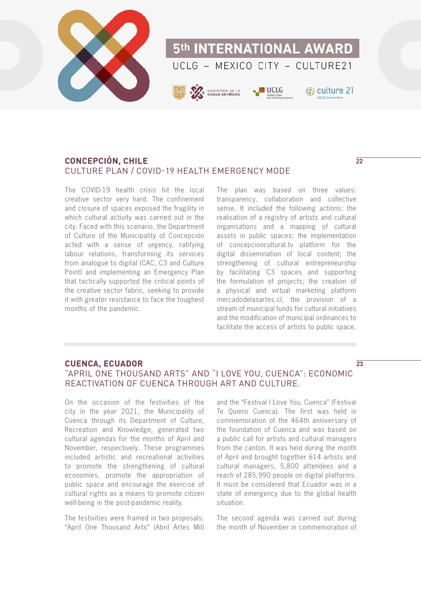

### **CONCEPCIÓN, CHILE** CULTURE PLAN / COVID-19 HEALTH EMERGENCY MODE

The COVID-19 health crisis hit the local creative sector very hard. The confinement and closure of spaces exposed the fragility in which cultural activity was carried out in the city. Faced with this scenario, the Department of Culture of the Municipality of Concepción acted with a sense of urgency, ratifying labour relations, transforming its services from analogue to digital (CAC, C3 and Culture Point) and implementing an Emergency Plan that tactically supported the critical points of the creative sector fabric, seeking to provide it with greater resistance to face the toughest months of the pandemic.

The plan was based on three values: transparency, collaboration and collective sense. It included the following actions: the realisation of a registry of artists and cultural organisations and a mapping of cultural assets in public spaces; the implementation of concepcioncultural.tv platform for the digital dissemination of local content; the strengthening of cultural entrepreneurship by facilitating C3 spaces and supporting the formulation of projects; the creation of a physical and virtual marketing platform mercadodelasartes.cl, the provision of a stream of municipal funds for cultural initiatives and the modification of municipal ordinances to facilitate the access of artists to public space.

### **CUENCA, ECUADOR**

### "APRIL ONE THOUSAND ARTS" AND "I LOVE YOU, CUENCA": ECONOMIC REACTIVATION OF CUENCA THROUGH ART AND CULTURE.

On the occasion of the festivities of the city in the year 2021, the Municipality of Cuenca through its Department of Culture, Recreation and Knowledge, generated two cultural agendas for the months of April and November, respectively. These programmes included artistic and recreational activities to promote the strengthening of cultural economies, promote the appropriation of public space and encourage the exercise of cultural rights as a means to promote citizen well-being in the post-pandemic reality.

The festivities were framed in two proposals: "April One Thousand Arts" (Abril Artes Mil)

and the "Festival I Love You, Cuenca" (Festival Te Quiero Cuenca). The first was held in commemoration of the 464th anniversary of the foundation of Cuenca and was based on a public call for artists and cultural managers from the canton. It was held during the month of April and brought together 614 artists and cultural managers, 5,800 attendees and a reach of 285,990 people on digital platforms. It must be considered that Ecuador was in a state of emergency due to the global health situation.

The second agenda was carried out during the month of November in commemoration of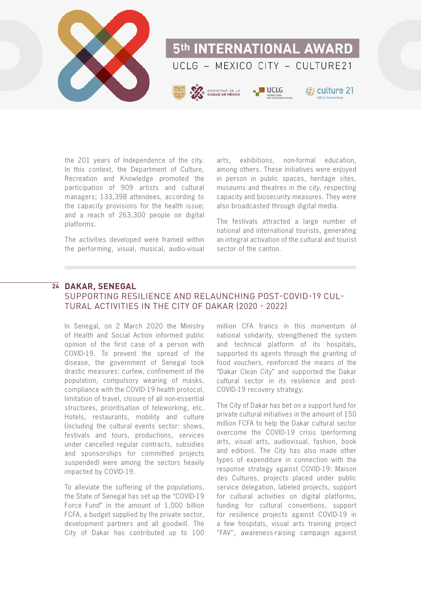

the 201 years of Independence of the city. In this context, the Department of Culture, Recreation and Knowledge promoted the participation of 909 artists and cultural managers; 133,398 attendees, according to the capacity provisions for the health issue; and a reach of 263,300 people on digital platforms.

The activities developed were framed within the performing, visual, musical, audio-visual arts, exhibitions, non-formal education, among others. These initiatives were enjoyed in person in public spaces, heritage sites, museums and theatres in the city, respecting capacity and biosecurity measures. They were also broadcasted through digital media.

The festivals attracted a large number of national and international tourists, generating an integral activation of the cultural and tourist sector of the canton.

### **DAKAR, SENEGAL 24**

### SUPPORTING RESILIENCE AND RELAUNCHING POST-COVID-19 CUL-TURAL ACTIVITIES IN THE CITY OF DAKAR (2020 - 2022)

In Senegal, on 2 March 2020 the Ministry of Health and Social Action informed public opinion of the first case of a person with COVID-19. To prevent the spread of the disease, the government of Senegal took drastic measures: curfew, confinement of the population, compulsory wearing of masks, compliance with the COVID-19 health protocol, limitation of travel, closure of all non-essential structures, prioritisation of teleworking, etc. Hotels, restaurants, mobility and culture (including the cultural events sector: shows, festivals and tours, productions, services under cancelled regular contracts, subsidies and sponsorships for committed projects suspended) were among the sectors heavily impacted by COVID-19.

To alleviate the suffering of the populations, the State of Senegal has set up the "COVID-19 Force Fund" in the amount of 1,000 billion FCFA, a budget supplied by the private sector, development partners and all goodwill. The City of Dakar has contributed up to 100 million CFA francs in this momentum of national solidarity, strengthened the system and technical platform of its hospitals, supported its agents through the granting of food vouchers, reinforced the means of the "Dakar Clean City" and supported the Dakar cultural sector in its resilience and post-COVID-19 recovery strategy.

The City of Dakar has bet on a support fund for private cultural initiatives in the amount of 150 million FCFA to help the Dakar cultural sector overcome the COVID-19 crisis (performing arts, visual arts, audiovisual, fashion, book and edition). The City has also made other types of expenditure in connection with the response strategy against COVID-19: Maison des Cultures, projects placed under public service delegation, labeled projects, support for cultural activities on digital platforms, funding for cultural conventions, support for resilience projects against COVID-19 in a few hospitals, visual arts training project ''FAV'', awareness-raising campaign against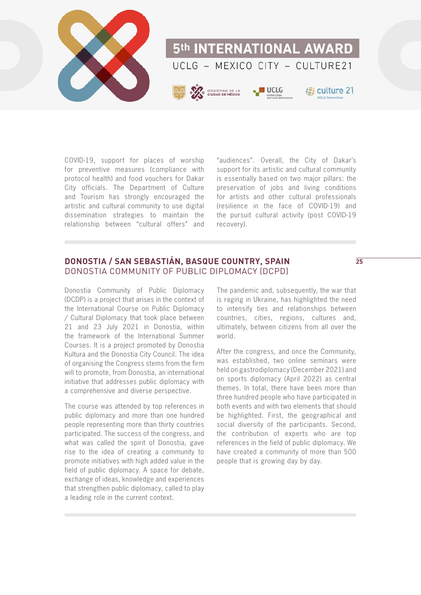

COVID-19, support for places of worship for preventive measures (compliance with protocol health) and food vouchers for Dakar City officials. The Department of Culture and Tourism has strongly encouraged the artistic and cultural community to use digital dissemination strategies to maintain the relationship between "cultural offers" and

"audiences". Overall, the City of Dakar's support for its artistic and cultural community is essentially based on two major pillars: the preservation of jobs and living conditions for artists and other cultural professionals (resilience in the face of COVID-19) and the pursuit cultural activity (post COVID-19 recovery).

### **DONOSTIA / SAN SEBASTIÁN, BASQUE COUNTRY, SPAIN** DONOSTIA COMMUNITY OF PUBLIC DIPLOMACY (DCPD)

Donostia Community of Public Diplomacy (DCDP) is a project that arises in the context of the International Course on Public Diplomacy / Cultural Diplomacy that took place between 21 and 23 July 2021 in Donostia, within the framework of the International Summer Courses. It is a project promoted by Donostia Kultura and the Donostia City Council. The idea of organising the Congress stems from the firm will to promote, from Donostia, an international initiative that addresses public diplomacy with a comprehensive and diverse perspective.

The course was attended by top references in public diplomacy and more than one hundred people representing more than thirty countries participated. The success of the congress, and what was called the spirit of Donostia, gave rise to the idea of creating a community to promote initiatives with high added value in the field of public diplomacy. A space for debate, exchange of ideas, knowledge and experiences that strengthen public diplomacy, called to play a leading role in the current context.

The pandemic and, subsequently, the war that is raging in Ukraine, has highlighted the need to intensify ties and relationships between countries, cities, regions, cultures and, ultimately, between citizens from all over the world.

After the congress, and once the Community, was established, two online seminars were held on gastrodiplomacy (December 2021) and on sports diplomacy (April 2022) as central themes. In total, there have been more than three hundred people who have participated in both events and with two elements that should be highlighted. First, the geographical and social diversity of the participants. Second, the contribution of experts who are top references in the field of public diplomacy. We have created a community of more than 500 people that is growing day by day.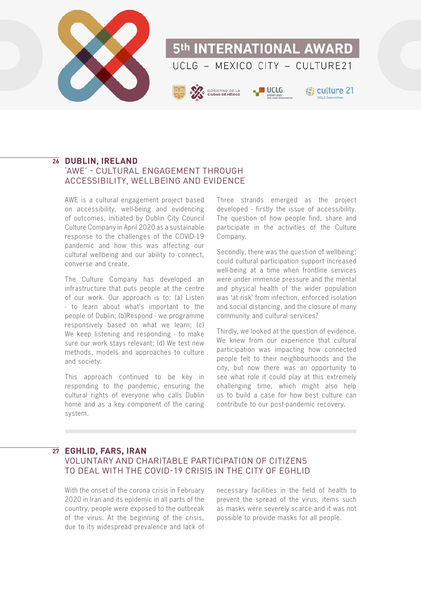

# 5th INTERNATIONAL AWARD UCLG - MEXICO CITY - CULTURE21



# **B** culture 21

### **DUBLIN, IRELAND 26**

### 'AWE' - CULTURAL ENGAGEMENT THROUGH ACCESSIBILITY, WELLBEING AND EVIDENCE

AWE is a cultural engagement project based on accessibility, well-being and evidencing of outcomes, initiated by Dublin City Council Culture Company in April 2020 as a sustainable response to the challenges of the COVID-19 pandemic and how this was affecting our cultural wellbeing and our ability to connect, converse and create.

The Culture Company has developed an infrastructure that puts people at the centre of our work. Our approach is to: (a) Listen - to learn about what's important to the people of Dublin; (b)Respond - we programme responsively based on what we learn; (c) We keep listening and responding - to make sure our work stays relevant; (d) We test new methods, models and approaches to culture and society.

This approach continued to be key in responding to the pandemic, ensuring the cultural rights of everyone who calls Dublin home and as a key component of the caring system.

Three strands emerged as the project developed - firstly the issue of accessibility. The question of how people find, share and participate in the activities of the Culture Company.

Secondly, there was the question of wellbeing: could cultural participation support increased well-being at a time when frontline services were under immense pressure and the mental and physical health of the wider population was 'at risk' from infection, enforced isolation and social distancing, and the closure of many community and cultural services?

Thirdly, we looked at the question of evidence. We knew from our experience that cultural participation was impacting how connected people felt to their neighbourhoods and the city, but now there was an opportunity to see what role it could play at this extremely challenging time, which might also help us to build a case for how best culture can contribute to our post-pandemic recovery.

### **EGHLID, FARS, IRAN 27**

### VOLUNTARY AND CHARITABLE PARTICIPATION OF CITIZENS TO DEAL WITH THE COVID-19 CRISIS IN THE CITY OF EGHLID

With the onset of the corona crisis in February 2020 in Iran and its epidemic in all parts of the country, people were exposed to the outbreak of the virus. At the beginning of the crisis, due to its widespread prevalence and lack of

necessary facilities in the field of health to prevent the spread of the virus, items such as masks were severely scarce and it was not possible to provide masks for all people.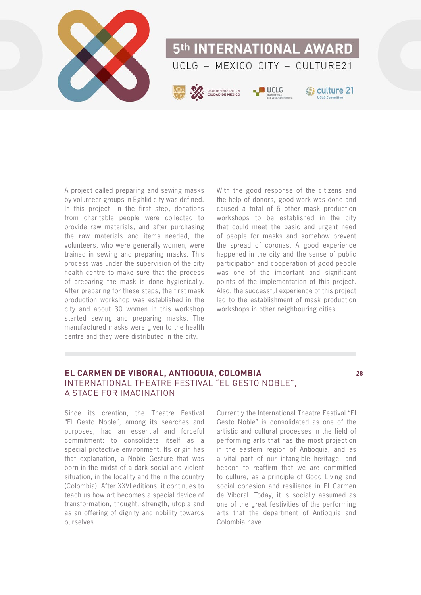

A project called preparing and sewing masks by volunteer groups in Eghlid city was defined. In this project, in the first step, donations from charitable people were collected to provide raw materials, and after purchasing the raw materials and items needed, the volunteers, who were generally women, were trained in sewing and preparing masks. This process was under the supervision of the city health centre to make sure that the process of preparing the mask is done hygienically. After preparing for these steps, the first mask production workshop was established in the city and about 30 women in this workshop started sewing and preparing masks. The manufactured masks were given to the health centre and they were distributed in the city.

With the good response of the citizens and the help of donors, good work was done and caused a total of 6 other mask production workshops to be established in the city that could meet the basic and urgent need of people for masks and somehow prevent the spread of coronas. A good experience happened in the city and the sense of public participation and cooperation of good people was one of the important and significant points of the implementation of this project. Also, the successful experience of this project led to the establishment of mask production workshops in other neighbouring cities.

### **EL CARMEN DE VIBORAL, ANTIOQUIA, COLOMBIA** INTERNATIONAL THEATRE FESTIVAL "EL GESTO NOBLE", A STAGE FOR IMAGINATION

Since its creation, the Theatre Festival "El Gesto Noble", among its searches and purposes, had an essential and forceful commitment: to consolidate itself as a special protective environment. Its origin has that explanation, a Noble Gesture that was born in the midst of a dark social and violent situation, in the locality and the in the country (Colombia). After XXVI editions, it continues to teach us how art becomes a special device of transformation, thought, strength, utopia and as an offering of dignity and nobility towards ourselves.

Currently the International Theatre Festival "El Gesto Noble" is consolidated as one of the artistic and cultural processes in the field of performing arts that has the most projection in the eastern region of Antioquia, and as a vital part of our intangible heritage, and beacon to reaffirm that we are committed to culture, as a principle of Good Living and social cohesion and resilience in El Carmen de Viboral. Today, it is socially assumed as one of the great festivities of the performing arts that the department of Antioquia and Colombia have.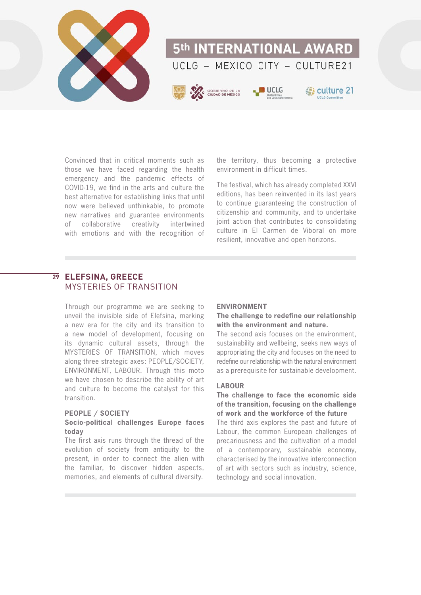

Convinced that in critical moments such as those we have faced regarding the health emergency and the pandemic effects of COVID-19, we find in the arts and culture the best alternative for establishing links that until now were believed unthinkable, to promote new narratives and guarantee environments of collaborative creativity intertwined with emotions and with the recognition of the territory, thus becoming a protective environment in difficult times.

The festival, which has already completed XXVI editions, has been reinvented in its last years to continue guaranteeing the construction of citizenship and community, and to undertake joint action that contributes to consolidating culture in El Carmen de Viboral on more resilient, innovative and open horizons.

### **ELEFSINA, GREECE 29**MYSTERIES OF TRANSITION

Through our programme we are seeking to unveil the invisible side of Elefsina, marking a new era for the city and its transition to a new model of development, focusing on its dynamic cultural assets, through the MYSTERIES OF TRANSITION, which moves along three strategic axes: PEOPLE/SOCIETY, ENVIRONMENT, LABOUR. Through this moto we have chosen to describe the ability of art and culture to become the catalyst for this transition.

#### **PEOPLE / SOCIETY**

#### **Socio-political challenges Europe faces today**

The first axis runs through the thread of the evolution of society from antiquity to the present, in order to connect the alien with the familiar, to discover hidden aspects, memories, and elements of cultural diversity.

### **ENVIRONMENT**

#### **The challenge to redefine our relationship with the environment and nature.**

The second axis focuses on the environment, sustainability and wellbeing, seeks new ways of appropriating the city and focuses on the need to redefine our relationship with the natural environment as a prerequisite for sustainable development.

#### **LABOUR**

### **The challenge to face the economic side of the transition, focusing on the challenge of work and the workforce of the future**

The third axis explores the past and future of Labour, the common European challenges of precariousness and the cultivation of a model of a contemporary, sustainable economy, characterised by the innovative interconnection of art with sectors such as industry, science, technology and social innovation.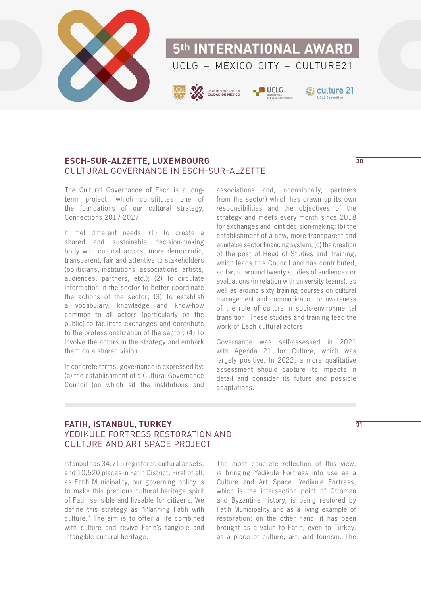

### **ESCH-SUR-ALZETTE, LUXEMBOURG** CULTURAL GOVERNANCE IN ESCH-SUR-ALZETTE

The Cultural Governance of Esch is a longterm project, which constitutes one of the foundations of our cultural strategy, Connections 2017-2027.

It met different needs: (1) To create a shared and sustainable decision-making body with cultural actors, more democratic, transparent, fair and attentive to stakeholders (politicians, institutions, associations, artists, audiences, partners, etc.); (2) To circulate information in the sector to better coordinate the actions of the sector; (3) To establish a vocabulary, knowledge and know-how common to all actors (particularly on the public) to facilitate exchanges and contribute to the professionalization of the sector; (4) To involve the actors in the strategy and embark them on a shared vision.

In concrete terms, governance is expressed by: (a) the establishment of a Cultural Governance Council (on which sit the institutions and

associations and, occasionally, partners from the sector) which has drawn up its own responsibilities and the objectives of the strategy and meets every month since 2018 for exchanges and joint decision-making; (b) the establishment of a new, more transparent and equitable sector financing system; (c) the creation of the post of Head of Studies and Training, which leads this Council and has contributed, so far, to around twenty studies of audiences or evaluations (in relation with university teams), as well as around sixty training courses on cultural management and communication or awareness of the role of culture in socio-environmental transition. These studies and training feed the work of Esch cultural actors.

Governance was self-assessed in 2021 with Agenda 21 for Culture, which was largely positive. In 2022, a more qualitative assessment should capture its impacts in detail and consider its future and possible adaptations.

### **FATIH, ISTANBUL, TURKEY** YEDIKULE FORTRESS RESTORATION AND CULTURE AND ART SPACE PROJECT

Istanbul has 34.715 registered cultural assets, and 10,520 places in Fatih District. First of all, as Fatih Municipality, our governing policy is to make this precious cultural heritage spirit of Fatih sensible and liveable for citizens. We define this strategy as "Planning Fatih with culture." The aim is to offer a life combined with culture and revive Fatih's tangible and intangible cultural heritage.

The most concrete reflection of this view; is bringing Yedikule Fortress into use as a Culture and Art Space. Yedikule Fortress, which is the intersection point of Ottoman and Byzantine history, is being restored by Fatih Municipality and as a living example of restoration; on the other hand, it has been brought as a value to Fatih, even to Turkey, as a place of culture, art, and tourism. The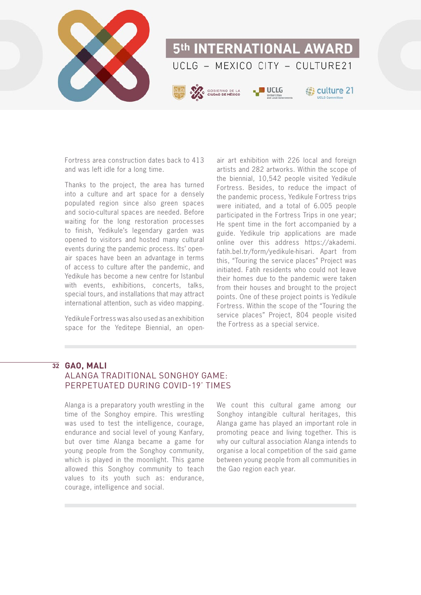

Fortress area construction dates back to 413 and was left idle for a long time.

Thanks to the project, the area has turned into a culture and art space for a densely populated region since also green spaces and socio-cultural spaces are needed. Before waiting for the long restoration processes to finish, Yedikule's legendary garden was opened to visitors and hosted many cultural events during the pandemic process. Its' openair spaces have been an advantage in terms of access to culture after the pandemic, and Yedikule has become a new centre for Istanbul with events, exhibitions, concerts, talks, special tours, and installations that may attract international attention, such as video mapping.

Yedikule Fortress was also used as an exhibition space for the Yeditepe Biennial, an open-

air art exhibition with 226 local and foreign artists and 282 artworks. Within the scope of the biennial, 10,542 people visited Yedikule Fortress. Besides, to reduce the impact of the pandemic process, Yedikule Fortress trips were initiated, and a total of 6.005 people participated in the Fortress Trips in one year; He spent time in the fort accompanied by a guide. Yedikule trip applications are made online over this address https://akademi. fatih.bel.tr/form/yedikule-hisari. Apart from this, "Touring the service places" Project was initiated. Fatih residents who could not leave their homes due to the pandemic were taken from their houses and brought to the project points. One of these project points is Yedikule Fortress. Within the scope of the "Touring the service places" Project, 804 people visited the Fortress as a special service.

### **GAO, MALI 32**ALANGA TRADITIONAL SONGHOY GAME: PERPETUATED DURING COVID-19' TIMES

Alanga is a preparatory youth wrestling in the time of the Songhoy empire. This wrestling was used to test the intelligence, courage, endurance and social level of young Kanfary, but over time Alanga became a game for young people from the Songhoy community, which is played in the moonlight. This game allowed this Songhoy community to teach values to its youth such as: endurance, courage, intelligence and social.

We count this cultural game among our Songhoy intangible cultural heritages, this Alanga game has played an important role in promoting peace and living together. This is why our cultural association Alanga intends to organise a local competition of the said game between young people from all communities in the Gao region each year.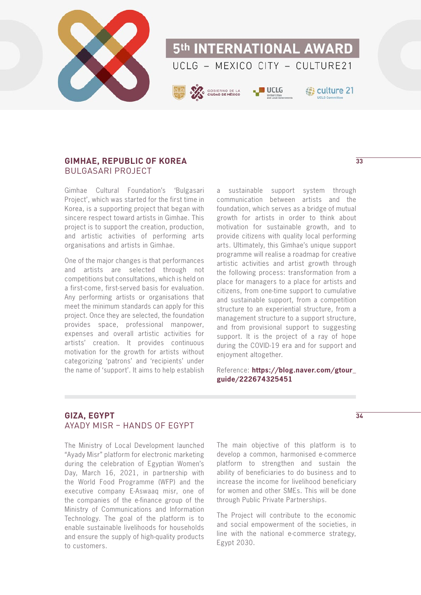

### **GIMHAE, REPUBLIC OF KOREA** BULGASARI PROJECT

Gimhae Cultural Foundation's 'Bulgasari Project', which was started for the first time in Korea, is a supporting project that began with sincere respect toward artists in Gimhae. This project is to support the creation, production, and artistic activities of performing arts organisations and artists in Gimhae.

One of the major changes is that performances and artists are selected through not competitions but consultations, which is held on a first-come, first-served basis for evaluation. Any performing artists or organisations that meet the minimum standards can apply for this project. Once they are selected, the foundation provides space, professional manpower, expenses and overall artistic activities for artists' creation. It provides continuous motivation for the growth for artists without categorizing 'patrons' and 'recipients' under the name of 'support'. It aims to help establish

a sustainable support system through communication between artists and the foundation, which serves as a bridge of mutual growth for artists in order to think about motivation for sustainable growth, and to provide citizens with quality local performing arts. Ultimately, this Gimhae's unique support programme will realise a roadmap for creative artistic activities and artist growth through the following process: transformation from a place for managers to a place for artists and citizens, from one-time support to cumulative and sustainable support, from a competition structure to an experiential structure, from a management structure to a support structure, and from provisional support to suggesting support. It is the project of a ray of hope during the COVID-19 era and for support and enjoyment altogether.

Reference: **[https://blog.naver.com/gtour\\_](https://blog.naver.com/gtour_guide/222674325451) [guide/222674325451](https://blog.naver.com/gtour_guide/222674325451)**

### **GIZA, EGYPT** AYADY MISR – HANDS OF EGYPT

The Ministry of Local Development launched "Ayady Misr" platform for electronic marketing during the celebration of Egyptian Women's Day, March 16, 2021, in partnership with the World Food Programme (WFP) and the executive company E-Aswaaq misr, one of the companies of the e-finance group of the Ministry of Communications and Information Technology. The goal of the platform is to enable sustainable livelihoods for households and ensure the supply of high-quality products to customers.

The main objective of this platform is to develop a common, harmonised e-commerce platform to strengthen and sustain the ability of beneficiaries to do business and to increase the income for livelihood beneficiary for women and other SMEs. This will be done through Public Private Partnerships.

The Project will contribute to the economic and social empowerment of the societies, in line with the national e-commerce strategy, Egypt 2030.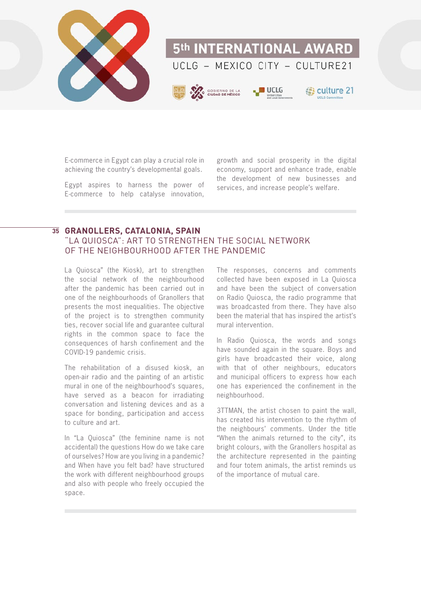

E-commerce in Egypt can play a crucial role in achieving the country's developmental goals.

Egypt aspires to harness the power of E-commerce to help catalyse innovation,

growth and social prosperity in the digital economy, support and enhance trade, enable the development of new businesses and services, and increase people's welfare.

## **GRANOLLERS, CATALONIA, SPAIN 35**

### "LA QUIOSCA": ART TO STRENGTHEN THE SOCIAL NETWORK OF THE NEIGHBOURHOOD AFTER THE PANDEMIC

La Quiosca" (the Kiosk), art to strengthen the social network of the neighbourhood after the pandemic has been carried out in one of the neighbourhoods of Granollers that presents the most inequalities. The objective of the project is to strengthen community ties, recover social life and guarantee cultural rights in the common space to face the consequences of harsh confinement and the COVID-19 pandemic crisis.

The rehabilitation of a disused kiosk, an open-air radio and the painting of an artistic mural in one of the neighbourhood's squares, have served as a beacon for irradiating conversation and listening devices and as a space for bonding, participation and access to culture and art.

In "La Quiosca" (the feminine name is not accidental) the questions How do we take care of ourselves? How are you living in a pandemic? and When have you felt bad? have structured the work with different neighbourhood groups and also with people who freely occupied the space.

The responses, concerns and comments collected have been exposed in La Quiosca and have been the subject of conversation on Radio Quiosca, the radio programme that was broadcasted from there. They have also been the material that has inspired the artist's mural intervention.

In Radio Quiosca, the words and songs have sounded again in the square. Boys and girls have broadcasted their voice, along with that of other neighbours, educators and municipal officers to express how each one has experienced the confinement in the neighbourhood.

3TTMAN, the artist chosen to paint the wall, has created his intervention to the rhythm of the neighbours' comments. Under the title "When the animals returned to the city", its bright colours, with the Granollers hospital as the architecture represented in the painting and four totem animals, the artist reminds us of the importance of mutual care.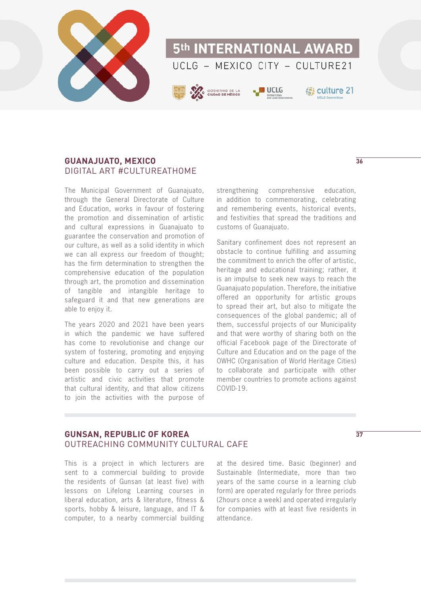

### **GUANAJUATO, MEXICO** DIGITAL ART #CULTUREATHOME

The Municipal Government of Guanajuato, through the General Directorate of Culture and Education, works in favour of fostering the promotion and dissemination of artistic and cultural expressions in Guanajuato to guarantee the conservation and promotion of our culture, as well as a solid identity in which we can all express our freedom of thought; has the firm determination to strengthen the comprehensive education of the population through art, the promotion and dissemination of tangible and intangible heritage to safeguard it and that new generations are able to enjoy it.

The years 2020 and 2021 have been years in which the pandemic we have suffered has come to revolutionise and change our system of fostering, promoting and enjoying culture and education. Despite this, it has been possible to carry out a series of artistic and civic activities that promote that cultural identity, and that allow citizens to join the activities with the purpose of

strengthening comprehensive education, in addition to commemorating, celebrating and remembering events, historical events, and festivities that spread the traditions and customs of Guanajuato.

Sanitary confinement does not represent an obstacle to continue fulfilling and assuming the commitment to enrich the offer of artistic, heritage and educational training; rather, it is an impulse to seek new ways to reach the Guanajuato population. Therefore, the initiative offered an opportunity for artistic groups to spread their art, but also to mitigate the consequences of the global pandemic; all of them, successful projects of our Municipality and that were worthy of sharing both on the official Facebook page of the Directorate of Culture and Education and on the page of the OWHC (Organisation of World Heritage Cities) to collaborate and participate with other member countries to promote actions against COVID-19.

#### **GUNSAN, REPUBLIC OF KOREA** OUTREACHING COMMUNITY CULTURAL CAFE

This is a project in which lecturers are sent to a commercial building to provide the residents of Gunsan (at least five) with lessons on Lifelong Learning courses in liberal education, arts & literature, fitness & sports, hobby & leisure, language, and IT & computer, to a nearby commercial building

at the desired time. Basic (beginner) and Sustainable (Intermediate, more than two years of the same course in a learning club form) are operated regularly for three periods (2hours once a week) and operated irregularly for companies with at least five residents in attendance.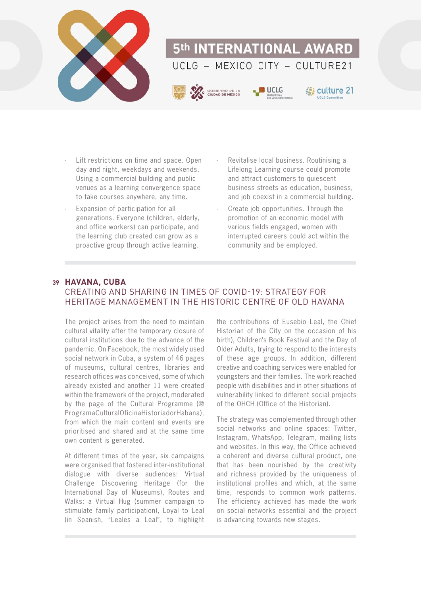

- Lift restrictions on time and space. Open day and night, weekdays and weekends. Using a commercial building and public venues as a learning convergence space to take courses anywhere, any time.
- Expansion of participation for all generations. Everyone (children, elderly, and office workers) can participate, and the learning club created can grow as a proactive group through active learning.
- Revitalise local business. Routinising a Lifelong Learning course could promote and attract customers to quiescent business streets as education, business, and job coexist in a commercial building.
- Create job opportunities. Through the promotion of an economic model with various fields engaged, women with interrupted careers could act within the community and be employed.

### **HAVANA, CUBA 39**CREATING AND SHARING IN TIMES OF COVID-19: STRATEGY FOR HERITAGE MANAGEMENT IN THE HISTORIC CENTRE OF OLD HAVANA

The project arises from the need to maintain cultural vitality after the temporary closure of cultural institutions due to the advance of the pandemic. On Facebook, the most widely used social network in Cuba, a system of 46 pages of museums, cultural centres, libraries and research offices was conceived, some of which already existed and another 11 were created within the framework of the project, moderated by the page of the Cultural Programme (@ ProgramaCulturalOficinaHistoriadorHabana), from which the main content and events are prioritised and shared and at the same time own content is generated.

At different times of the year, six campaigns were organised that fostered inter-institutional dialogue with diverse audiences: Virtual Challenge Discovering Heritage (for the International Day of Museums), Routes and Walks: a Virtual Hug (summer campaign to stimulate family participation), Loyal to Leal (in Spanish, "Leales a Leal", to highlight

the contributions of Eusebio Leal, the Chief Historian of the City on the occasion of his birth), Children's Book Festival and the Day of Older Adults, trying to respond to the interests of these age groups. In addition, different creative and coaching services were enabled for youngsters and their families. The work reached people with disabilities and in other situations of vulnerability linked to different social projects of the OHCH (Office of the Historian).

The strategy was complemented through other social networks and online spaces: Twitter, Instagram, WhatsApp, Telegram, mailing lists and websites. In this way, the Office achieved a coherent and diverse cultural product, one that has been nourished by the creativity and richness provided by the uniqueness of institutional profiles and which, at the same time, responds to common work patterns. The efficiency achieved has made the work on social networks essential and the project is advancing towards new stages.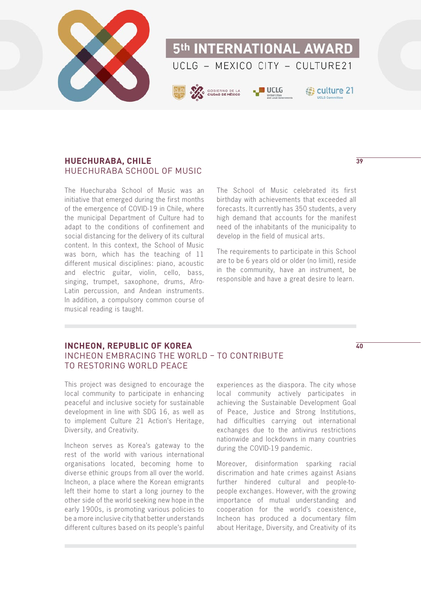

### **HUECHURABA, CHILE** HUECHURABA SCHOOL OF MUSIC

The Huechuraba School of Music was an initiative that emerged during the first months of the emergence of COVID-19 in Chile, where the municipal Department of Culture had to adapt to the conditions of confinement and social distancing for the delivery of its cultural content. In this context, the School of Music was born, which has the teaching of 11 different musical disciplines: piano, acoustic and electric guitar, violin, cello, bass, singing, trumpet, saxophone, drums, Afro-Latin percussion, and Andean instruments. In addition, a compulsory common course of musical reading is taught.

The School of Music celebrated its first birthday with achievements that exceeded all forecasts. It currently has 350 students, a very high demand that accounts for the manifest need of the inhabitants of the municipality to develop in the field of musical arts.

The requirements to participate in this School are to be 6 years old or older (no limit), reside in the community, have an instrument, be responsible and have a great desire to learn.

### **INCHEON, REPUBLIC OF KOREA** INCHEON EMBRACING THE WORLD – TO CONTRIBUTE TO RESTORING WORLD PEACE

This project was designed to encourage the local community to participate in enhancing peaceful and inclusive society for sustainable development in line with SDG 16, as well as to implement Culture 21 Action's Heritage, Diversity, and Creativity.

Incheon serves as Korea's gateway to the rest of the world with various international organisations located, becoming home to diverse ethinic groups from all over the world. Incheon, a place where the Korean emigrants left their home to start a long journey to the other side of the world seeking new hope in the early 1900s, is promoting various policies to be a more inclusive city that better understands different cultures based on its people's painful

experiences as the diaspora. The city whose local community actively participates in achieving the Sustainable Development Goal of Peace, Justice and Strong Institutions, had difficulties carrying out international exchanges due to the antivirus restrictions nationwide and lockdowns in many countries during the COVID-19 pandemic.

Moreover, disinformation sparking racial discrimation and hate crimes against Asians further hindered cultural and people-topeople exchanges. However, with the growing importance of mutual understanding and cooperation for the world's coexistence, Incheon has produced a documentary film about Heritage, Diversity, and Creativity of its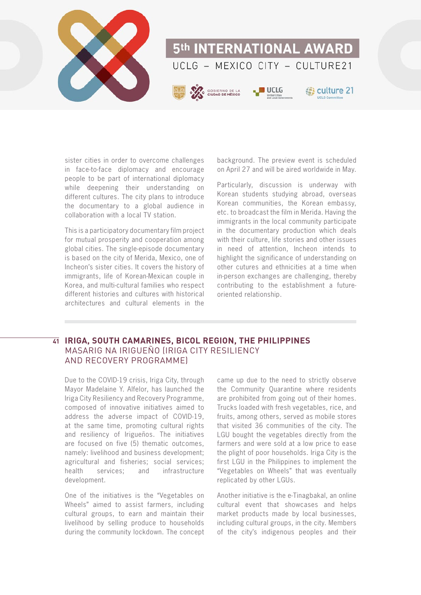

sister cities in order to overcome challenges in face-to-face diplomacy and encourage people to be part of international diplomacy while deepening their understanding on different cultures. The city plans to introduce the documentary to a global audience in collaboration with a local TV station.

This is a participatory documentary film project for mutual prosperity and cooperation among global cities. The single-episode documentary is based on the city of Merida, Mexico, one of Incheon's sister cities. It covers the history of immigrants, life of Korean-Mexican couple in Korea, and multi-cultural families who respect different histories and cultures with historical architectures and cultural elements in the

background. The preview event is scheduled on April 27 and will be aired worldwide in May.

Particularly, discussion is underway with Korean students studying abroad, overseas Korean communities, the Korean embassy, etc. to broadcast the film in Merida. Having the immigrants in the local community participate in the documentary production which deals with their culture, life stories and other issues in need of attention, Incheon intends to highlight the significance of understanding on other cutures and ethnicities at a time when in-person exchanges are challenging, thereby contributing to the establishment a futureoriented relationship.

### **IRIGA, SOUTH CAMARINES, BICOL REGION, THE PHILIPPINES 41**MASARIG NA IRIGUEÑO (IRIGA CITY RESILIENCY AND RECOVERY PROGRAMME)

Due to the COVID-19 crisis, Iriga City, through Mayor Madelaine Y. Alfelor, has launched the Iriga City Resiliency and Recovery Programme, composed of innovative initiatives aimed to address the adverse impact of COVID-19, at the same time, promoting cultural rights and resiliency of Irigueños. The initiatives are focused on five (5) thematic outcomes, namely: livelihood and business development; agricultural and fisheries; social services; health services; and infrastructure development.

One of the initiatives is the "Vegetables on Wheels" aimed to assist farmers, including cultural groups, to earn and maintain their livelihood by selling produce to households during the community lockdown. The concept came up due to the need to strictly observe the Community Quarantine where residents are prohibited from going out of their homes. Trucks loaded with fresh vegetables, rice, and fruits, among others, served as mobile stores that visited 36 communities of the city. The LGU bought the vegetables directly from the farmers and were sold at a low price to ease the plight of poor households. Iriga City is the first LGU in the Philippines to implement the "Vegetables on Wheels" that was eventually replicated by other LGUs.

Another initiative is the e-Tinagbakal, an online cultural event that showcases and helps market products made by local businesses, including cultural groups, in the city. Members of the city's indigenous peoples and their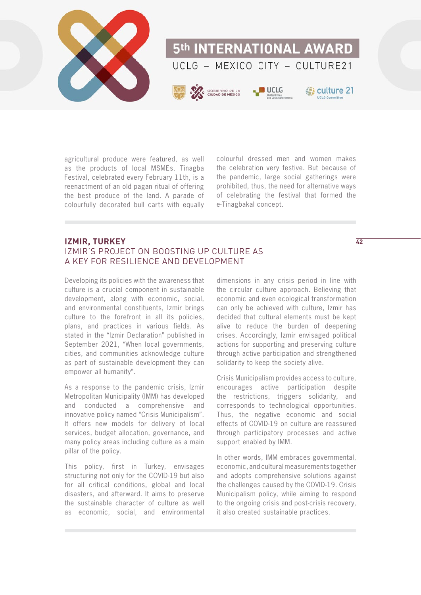

agricultural produce were featured, as well as the products of local MSMEs. Tinagba Festival, celebrated every February 11th, is a reenactment of an old pagan ritual of offering the best produce of the land. A parade of colourfully decorated bull carts with equally

colourful dressed men and women makes the celebration very festive. But because of the pandemic, large social gatherings were prohibited, thus, the need for alternative ways of celebrating the festival that formed the e-Tinagbakal concept.

### **IZMIR, TURKEY** IZMIR'S PROJECT ON BOOSTING UP CULTURE AS A KEY FOR RESILIENCE AND DEVELOPMENT

Developing its policies with the awareness that culture is a crucial component in sustainable development, along with economic, social, and environmental constituents, Izmir brings culture to the forefront in all its policies, plans, and practices in various fields. As stated in the "Izmir Declaration" published in September 2021, "When local governments, cities, and communities acknowledge culture as part of sustainable development they can empower all humanity".

As a response to the pandemic crisis, Izmir Metropolitan Municipality (IMM) has developed and conducted a comprehensive and innovative policy named "Crisis Municipalism". It offers new models for delivery of local services, budget allocation, governance, and many policy areas including culture as a main pillar of the policy.

This policy, first in Turkey, envisages structuring not only for the COVID-19 but also for all critical conditions, global and local disasters, and afterward. It aims to preserve the sustainable character of culture as well as economic, social, and environmental

dimensions in any crisis period in line with the circular culture approach. Believing that economic and even ecological transformation can only be achieved with culture, Izmir has decided that cultural elements must be kept alive to reduce the burden of deepening crises. Accordingly, Izmir envisaged political actions for supporting and preserving culture through active participation and strengthened solidarity to keep the society alive.

Crisis Municipalism provides access to culture, encourages active participation despite the restrictions, triggers solidarity, and corresponds to technological opportunities. Thus, the negative economic and social effects of COVID-19 on culture are reassured through participatory processes and active support enabled by IMM.

In other words, IMM embraces governmental, economic, and cultural measurements together and adopts comprehensive solutions against the challenges caused by the COVID-19. Crisis Municipalism policy, while aiming to respond to the ongoing crisis and post-crisis recovery, it also created sustainable practices.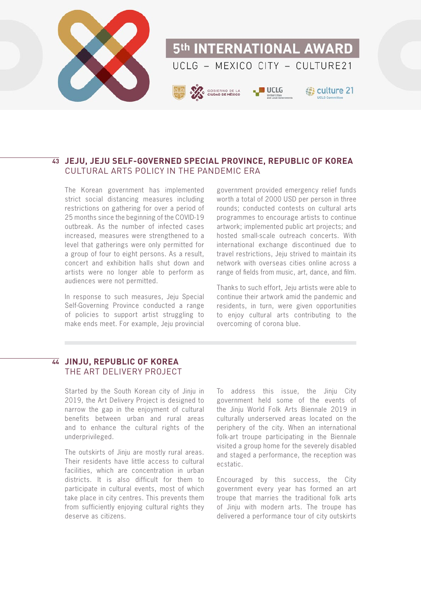

### **JEJU, JEJU SELF-GOVERNED SPECIAL PROVINCE, REPUBLIC OF KOREA 43** CULTURAL ARTS POLICY IN THE PANDEMIC FRA

The Korean government has implemented strict social distancing measures including restrictions on gathering for over a period of 25 months since the beginning of the COVID-19 outbreak. As the number of infected cases increased, measures were strengthened to a level that gatherings were only permitted for a group of four to eight persons. As a result, concert and exhibition halls shut down and artists were no longer able to perform as audiences were not permitted.

In response to such measures, Jeju Special Self-Governing Province conducted a range of policies to support artist struggling to make ends meet. For example, Jeju provincial

government provided emergency relief funds worth a total of 2000 USD per person in three rounds; conducted contests on cultural arts programmes to encourage artists to continue artwork; implemented public art projects; and hosted small-scale outreach concerts. With international exchange discontinued due to travel restrictions, Jeju strived to maintain its network with overseas cities online across a range of fields from music, art, dance, and film.

Thanks to such effort, Jeju artists were able to continue their artwork amid the pandemic and residents, in turn, were given opportunities to enjoy cultural arts contributing to the overcoming of corona blue.

### **JINJU, REPUBLIC OF KOREA 44**THE ART DELIVERY PROJECT

Started by the South Korean city of Jinju in 2019, the Art Delivery Project is designed to narrow the gap in the enjoyment of cultural benefits between urban and rural areas and to enhance the cultural rights of the underprivileged.

The outskirts of Jinju are mostly rural areas. Their residents have little access to cultural facilities, which are concentration in urban districts. It is also difficult for them to participate in cultural events, most of which take place in city centres. This prevents them from sufficiently enjoying cultural rights they deserve as citizens.

To address this issue, the Jinju City government held some of the events of the Jinju World Folk Arts Biennale 2019 in culturally underserved areas located on the periphery of the city. When an international folk-art troupe participating in the Biennale visited a group home for the severely disabled and staged a performance, the reception was ecstatic.

Encouraged by this success, the City government every year has formed an art troupe that marries the traditional folk arts of Jinju with modern arts. The troupe has delivered a performance tour of city outskirts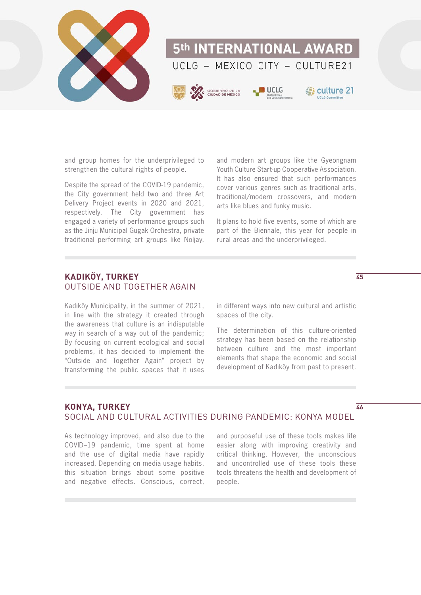

and group homes for the underprivileged to strengthen the cultural rights of people.

Despite the spread of the COVID-19 pandemic, the City government held two and three Art Delivery Project events in 2020 and 2021, respectively. The City government has engaged a variety of performance groups such as the Jinju Municipal Gugak Orchestra, private traditional performing art groups like Noljay, and modern art groups like the Gyeongnam Youth Culture Start-up Cooperative Association. It has also ensured that such performances cover various genres such as traditional arts, traditional/modern crossovers, and modern arts like blues and funky music.

It plans to hold five events, some of which are part of the Biennale, this year for people in rural areas and the underprivileged.

### **KADIKÖY, TURKEY** OUTSIDE AND TOGETHER AGAIN

Kadıköy Municipality, in the summer of 2021, in line with the strategy it created through the awareness that culture is an indisputable way in search of a way out of the pandemic; By focusing on current ecological and social problems, it has decided to implement the "Outside and Together Again" project by transforming the public spaces that it uses in different ways into new cultural and artistic spaces of the city.

The determination of this culture-oriented strategy has been based on the relationship between culture and the most important elements that shape the economic and social development of Kadıköy from past to present.

#### **KONYA, TURKEY** SOCIAL AND CULTURAL ACTIVITIES DURING PANDEMIC: KONYA MODEL **46**

As technology improved, and also due to the COVID–19 pandemic, time spent at home and the use of digital media have rapidly increased. Depending on media usage habits, this situation brings about some positive and negative effects. Conscious, correct,

and purposeful use of these tools makes life easier along with improving creativity and critical thinking. However, the unconscious and uncontrolled use of these tools these tools threatens the health and development of people.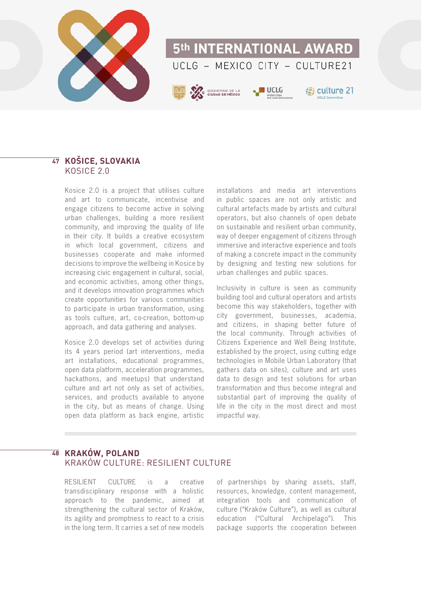

# 5th INTERNATIONAL AWARD UCLG - MEXICO CITY - CULTURE21



**B** culture 21

## **KOŠICE, SLOVAKIA 47** KOSICE 2.0

Kosice 2.0 is a project that utilises culture and art to communicate, incentivise and engage citizens to become active in solving urban challenges, building a more resilient community, and improving the quality of life in their city. It builds a creative ecosystem in which local government, citizens and businesses cooperate and make informed decisions to improve the wellbeing in Kosice by increasing civic engagement in cultural, social, and economic activities, among other things, and it develops innovation programmes which create opportunities for various communities to participate in urban transformation, using as tools culture, art, co-creation, bottom-up approach, and data gathering and analyses.

Kosice 2.0 develops set of activities during its 4 years period (art interventions, media art installations, educational programmes, open data platform, acceleration programmes, hackathons, and meetups) that understand culture and art not only as set of activities, services, and products available to anyone in the city, but as means of change. Using open data platform as back engine, artistic

installations and media art interventions in public spaces are not only artistic and cultural artefacts made by artists and cultural operators, but also channels of open debate on sustainable and resilient urban community, way of deeper engagement of citizens through immersive and interactive experience and tools of making a concrete impact in the community by designing and testing new solutions for urban challenges and public spaces.

Inclusivity in culture is seen as community building tool and cultural operators and artists become this way stakeholders, together with city government, businesses, academia, and citizens, in shaping better future of the local community. Through activities of Citizens Experience and Well Being Institute, established by the project, using cutting edge technologies in Mobile Urban Laboratory (that gathers data on sites), culture and art uses data to design and test solutions for urban transformation and thus become integral and substantial part of improving the quality of life in the city in the most direct and most impactful way.

### **KRAKÓW, POLAND 48**KRAKÓW CULTURE: RESILIENT CULTURE

RESILIENT CULTURE is a creative transdisciplinary response with a holistic approach to the pandemic, aimed at strengthening the cultural sector of Kraków, its agility and promptness to react to a crisis in the long term. It carries a set of new models

of partnerships by sharing assets, staff, resources, knowledge, content management, integration tools and communication of culture ("Kraków Culture"), as well as cultural education ("Cultural Archipelago"). This package supports the cooperation between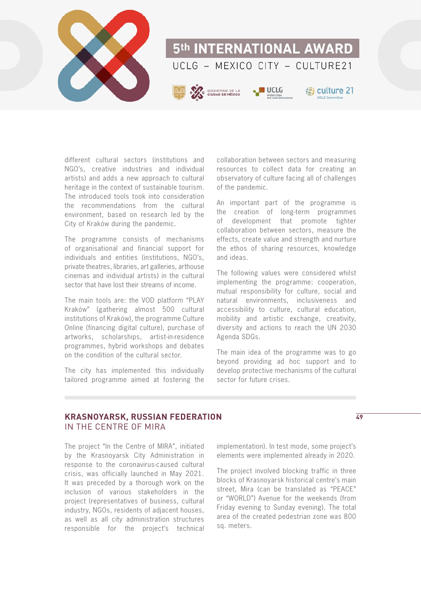

different cultural sectors (institutions and NGO's, creative industries and individual artists) and adds a new approach to cultural heritage in the context of sustainable tourism. The introduced tools took into consideration the recommendations from the cultural environment, based on research led by the City of Kraków during the pandemic.

The programme consists of mechanisms of organisational and financial support for individuals and entities (institutions, NGO's, private theatres, libraries, art galleries, arthouse cinemas and individual artists) in the cultural sector that have lost their streams of income.

The main tools are: the VOD platform "PLAY Kraków" (gathering almost 500 cultural institutions of Kraków), the programme Culture Online (financing digital culture), purchase of artworks, scholarships, artist-in-residence programmes, hybrid workshops and debates on the condition of the cultural sector.

The city has implemented this individually tailored programme aimed at fostering the

collaboration between sectors and measuring resources to collect data for creating an observatory of culture facing all of challenges of the pandemic.

An important part of the programme is the creation of long-term programmes of development that promote tighter collaboration between sectors, measure the effects, create value and strength and nurture the ethos of sharing resources, knowledge and ideas.

The following values were considered whilst implementing the programme: cooperation, mutual responsibility for culture, social and natural environments, inclusiveness and accessibility to culture, cultural education, mobility and artistic exchange, creativity, diversity and actions to reach the UN 2030 Agenda SDGs.

The main idea of the programme was to go beyond providing ad hoc support and to develop protective mechanisms of the cultural sector for future crises.

### **KRASNOYARSK, RUSSIAN FEDERATION** IN THE CENTRE OF MIRA

The project "In the Centre of MIRA", initiated by the Krasnoyarsk City Administration in response to the coronavirus-caused cultural crisis, was officially launched in May 2021. It was preceded by a thorough work on the inclusion of various stakeholders in the project (representatives of business, cultural industry, NGOs, residents of adjacent houses, as well as all city administration structures responsible for the project's technical

implementation). In test mode, some project's elements were implemented already in 2020.

The project involved blocking traffic in three blocks of Krasnoyarsk historical centre's main street, Mira (can be translated as "PEACE" or "WORLD") Avenue for the weekends (from Friday evening to Sunday evening). The total area of the created pedestrian zone was 800 sq. meters.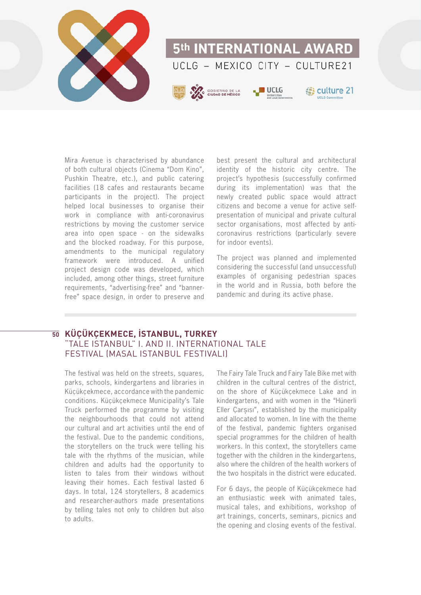

Mira Avenue is characterised by abundance of both cultural objects (Cinema "Dom Kino", Pushkin Theatre, etc.), and public catering facilities (18 cafes and restaurants became participants in the project). The project helped local businesses to organise their work in compliance with anti-coronavirus restrictions by moving the customer service area into open space - on the sidewalks and the blocked roadway. For this purpose, amendments to the municipal regulatory framework were introduced. A unified project design code was developed, which included, among other things, street furniture requirements, "advertising-free" and "bannerfree" space design, in order to preserve and

best present the cultural and architectural identity of the historic city centre. The project's hypothesis (successfully confirmed during its implementation) was that the newly created public space would attract citizens and become a venue for active selfpresentation of municipal and private cultural sector organisations, most affected by anticoronavirus restrictions (particularly severe for indoor events).

The project was planned and implemented considering the successful (and unsuccessful) examples of organising pedestrian spaces in the world and in Russia, both before the pandemic and during its active phase.

### **KÜÇÜKÇEKMECE, İSTANBUL, TURKEY 50**"TALE ISTANBUL" I. AND II. INTERNATIONAL TALE FESTIVAL (MASAL ISTANBUL FESTIVALI)

The festival was held on the streets, squares, parks, schools, kindergartens and libraries in Küçükçekmece, accordance with the pandemic conditions. Küçükçekmece Municipality's Tale Truck performed the programme by visiting the neighbourhoods that could not attend our cultural and art activities until the end of the festival. Due to the pandemic conditions, the storytellers on the truck were telling his tale with the rhythms of the musician, while children and adults had the opportunity to listen to tales from their windows without leaving their homes. Each festival lasted 6 days. In total, 124 storytellers, 8 academics and researcher-authors made presentations by telling tales not only to children but also to adults.

The Fairy Tale Truck and Fairy Tale Bike met with children in the cultural centres of the district, on the shore of Küçükçekmece Lake and in kindergartens, and with women in the "Hünerli Eller Çarşısı", established by the municipality and allocated to women. In line with the theme of the festival, pandemic fighters organised special programmes for the children of health workers. In this context, the storytellers came together with the children in the kindergartens, also where the children of the health workers of the two hospitals in the district were educated.

For 6 days, the people of Küçükçekmece had an enthusiastic week with animated tales, musical tales, and exhibitions, workshop of art trainings, concerts, seminars, picnics and the opening and closing events of the festival.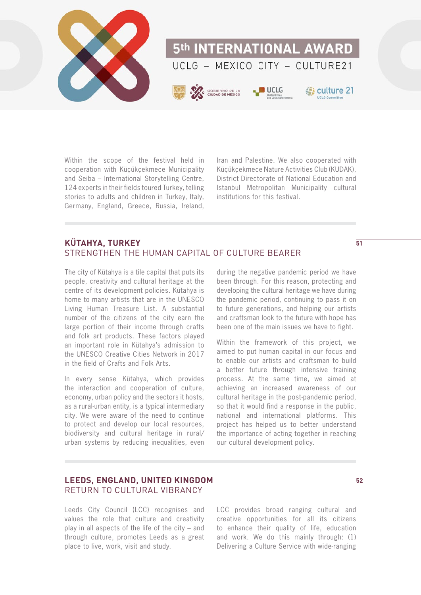

Within the scope of the festival held in cooperation with Küçükçekmece Municipality and Seiba – International Storytelling Centre, 124 experts in their fields toured Turkey, telling stories to adults and children in Turkey, Italy, Germany, England, Greece, Russia, Ireland,

Iran and Palestine. We also cooperated with Küçükçekmece Nature Activities Club (KUDAK), District Directorate of National Education and Istanbul Metropolitan Municipality cultural institutions for this festival.

# **KÜTAHYA, TURKEY** STRENGTHEN THE HUMAN CAPITAL OF CULTURE BEARER

The city of Kütahya is a tile capital that puts its people, creativity and cultural heritage at the centre of its development policies. Kütahya is home to many artists that are in the UNESCO Living Human Treasure List. A substantial number of the citizens of the city earn the large portion of their income through crafts and folk art products. These factors played an important role in Kütahya's admission to the UNESCO Creative Cities Network in 2017 in the field of Crafts and Folk Arts.

In every sense Kütahya, which provides the interaction and cooperation of culture, economy, urban policy and the sectors it hosts, as a rural-urban entity, is a typical intermediary city. We were aware of the need to continue to protect and develop our local resources, biodiversity and cultural heritage in rural/ urban systems by reducing inequalities, even

during the negative pandemic period we have been through. For this reason, protecting and developing the cultural heritage we have during the pandemic period, continuing to pass it on to future generations, and helping our artists and craftsman look to the future with hope has been one of the main issues we have to fight.

Within the framework of this project, we aimed to put human capital in our focus and to enable our artists and craftsman to build a better future through intensive training process. At the same time, we aimed at achieving an increased awareness of our cultural heritage in the post-pandemic period, so that it would find a response in the public, national and international platforms. This project has helped us to better understand the importance of acting together in reaching our cultural development policy.

# **LEEDS, ENGLAND, UNITED KINGDOM** RETURN TO CULTURAL VIBRANCY

Leeds City Council (LCC) recognises and values the role that culture and creativity play in all aspects of the life of the city – and through culture, promotes Leeds as a great place to live, work, visit and study.

LCC provides broad ranging cultural and creative opportunities for all its citizens to enhance their quality of life, education and work. We do this mainly through: (1) Delivering a Culture Service with wide-ranging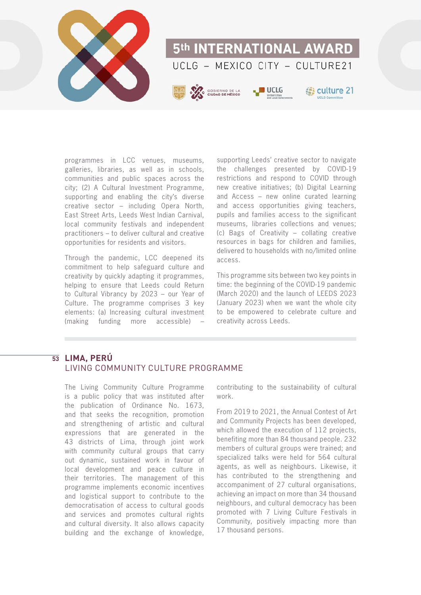

programmes in LCC venues, museums, galleries, libraries, as well as in schools, communities and public spaces across the city; (2) A Cultural Investment Programme, supporting and enabling the city's diverse creative sector – including Opera North, East Street Arts, Leeds West Indian Carnival, local community festivals and independent practitioners – to deliver cultural and creative opportunities for residents and visitors.

Through the pandemic, LCC deepened its commitment to help safeguard culture and creativity by quickly adapting it programmes, helping to ensure that Leeds could Return to Cultural Vibrancy by 2023 – our Year of Culture. The programme comprises 3 key elements: (a) Increasing cultural investment (making funding more accessible) –

supporting Leeds' creative sector to navigate the challenges presented by COVID-19 restrictions and respond to COVID through new creative initiatives; (b) Digital Learning and Access – new online curated learning and access opportunities giving teachers, pupils and families access to the significant museums, libraries collections and venues; (c) Bags of Creativity – collating creative resources in bags for children and families, delivered to households with no/limited online access.

This programme sits between two key points in time: the beginning of the COVID-19 pandemic (March 2020) and the launch of LEEDS 2023 (January 2023) when we want the whole city to be empowered to celebrate culture and creativity across Leeds.

# **LIMA, PERÚ 53**LIVING COMMUNITY CULTURE PROGRAMME

The Living Community Culture Programme is a public policy that was instituted after the publication of Ordinance No. 1673, and that seeks the recognition, promotion and strengthening of artistic and cultural expressions that are generated in the 43 districts of Lima, through joint work with community cultural groups that carry out dynamic, sustained work in favour of local development and peace culture in their territories. The management of this programme implements economic incentives and logistical support to contribute to the democratisation of access to cultural goods and services and promotes cultural rights and cultural diversity. It also allows capacity building and the exchange of knowledge,

contributing to the sustainability of cultural work.

From 2019 to 2021, the Annual Contest of Art and Community Projects has been developed, which allowed the execution of 112 projects, benefiting more than 84 thousand people. 232 members of cultural groups were trained; and specialized talks were held for 564 cultural agents, as well as neighbours. Likewise, it has contributed to the strengthening and accompaniment of 27 cultural organisations, achieving an impact on more than 34 thousand neighbours, and cultural democracy has been promoted with 7 Living Culture Festivals in Community, positively impacting more than 17 thousand persons.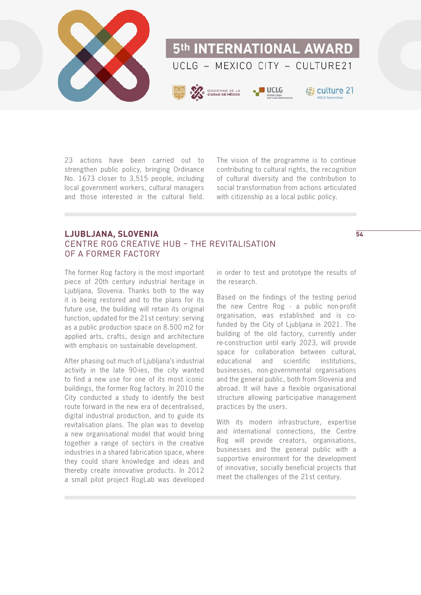

23 actions have been carried out to strengthen public policy, bringing Ordinance No. 1673 closer to 3,515 people, including local government workers, cultural managers and those interested in the cultural field.

The vision of the programme is to continue contributing to cultural rights, the recognition of cultural diversity and the contribution to social transformation from actions articulated with citizenship as a local public policy.

### **LJUBLJANA, SLOVENIA** CENTRE ROG CREATIVE HUB – THE REVITALISATION OF A FORMER FACTORY

The former Rog factory is the most important piece of 20th century industrial heritage in Ljubljana, Slovenia. Thanks both to the way it is being restored and to the plans for its future use, the building will retain its original function, updated for the 21st century: serving as a public production space on 8.500 m2 for applied arts, crafts, design and architecture with emphasis on sustainable development.

After phasing out much of Liubliana's industrial activity in the late 90-ies, the city wanted to find a new use for one of its most iconic buildings, the former Rog factory. In 2010 the City conducted a study to identify the best route forward in the new era of decentralised, digital industrial production, and to guide its revitalisation plans. The plan was to develop a new organisational model that would bring together a range of sectors in the creative industries in a shared fabrication space, where they could share knowledge and ideas and thereby create innovative products. In 2012 a small pilot project RogLab was developed in order to test and prototype the results of the research.

Based on the findings of the testing period the new Centre Rog - a public non-profit organisation, was established and is cofunded by the City of Ljubljana in 2021. The building of the old factory, currently under re-construction until early 2023, will provide space for collaboration between cultural, educational and scientific institutions, businesses, non-governmental organisations and the general public, both from Slovenia and abroad. It will have a flexible organisational structure allowing participative management practices by the users.

With its modern infrastructure, expertise and international connections, the Centre Rog will provide creators, organisations, businesses and the general public with a supportive environment for the development of innovative, socially beneficial projects that meet the challenges of the 21st century.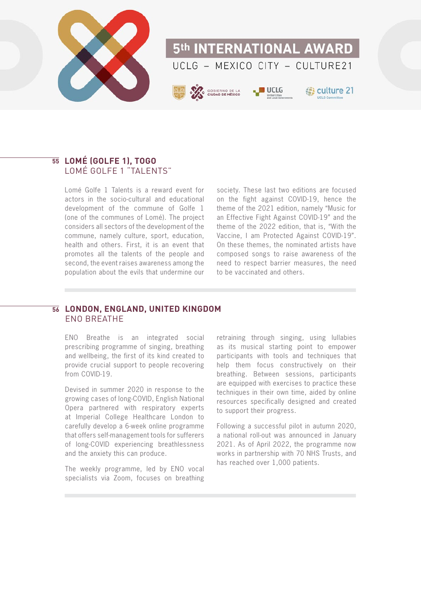

# **LOMÉ (GOLFE 1), TOGO 55** LOMÉ GOLFE 1 "TALENTS"

Lomé Golfe 1 Talents is a reward event for actors in the socio-cultural and educational development of the commune of Golfe 1 (one of the communes of Lomé). The project considers all sectors of the development of the commune, namely culture, sport, education, health and others. First, it is an event that promotes all the talents of the people and second, the event raises awareness among the population about the evils that undermine our

society. These last two editions are focused on the fight against COVID-19, hence the theme of the 2021 edition, namely "Music for an Effective Fight Against COVID-19" and the theme of the 2022 edition, that is, "With the Vaccine, I am Protected Against COVID-19". On these themes, the nominated artists have composed songs to raise awareness of the need to respect barrier measures, the need to be vaccinated and others.

#### **LONDON, ENGLAND, UNITED KINGDOM 56**ENO BREATHE

ENO Breathe is an integrated social prescribing programme of singing, breathing and wellbeing, the first of its kind created to provide crucial support to people recovering from COVID-19.

Devised in summer 2020 in response to the growing cases of long-COVID, English National Opera partnered with respiratory experts at Imperial College Healthcare London to carefully develop a 6-week online programme that offers self-management tools for sufferers of long-COVID experiencing breathlessness and the anxiety this can produce.

The weekly programme, led by ENO vocal specialists via Zoom, focuses on breathing

retraining through singing, using lullabies as its musical starting point to empower participants with tools and techniques that help them focus constructively on their breathing. Between sessions, participants are equipped with exercises to practice these techniques in their own time, aided by online resources specifically designed and created to support their progress.

Following a successful pilot in autumn 2020, a national roll-out was announced in January 2021. As of April 2022, the programme now works in partnership with 70 NHS Trusts, and has reached over 1,000 patients.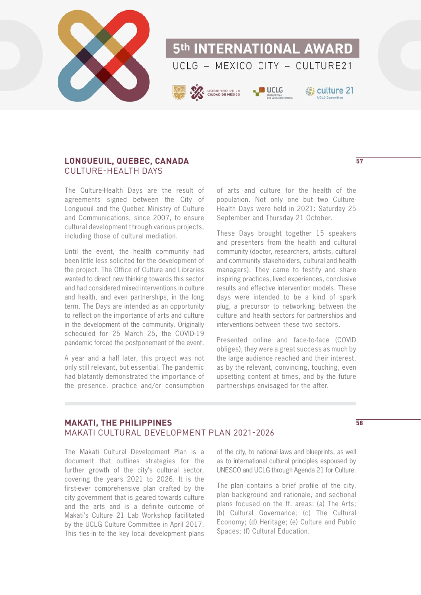

# **LONGUEUIL, QUEBEC, CANADA** CULTURE-HEALTH DAYS

The Culture-Health Days are the result of agreements signed between the City of Longueuil and the Quebec Ministry of Culture and Communications, since 2007, to ensure cultural development through various projects, including those of cultural mediation.

Until the event, the health community had been little less solicited for the development of the project. The Office of Culture and Libraries wanted to direct new thinking towards this sector and had considered mixed interventions in culture and health, and even partnerships, in the long term. The Days are intended as an opportunity to reflect on the importance of arts and culture in the development of the community. Originally scheduled for 25 March 25, the COVID-19 pandemic forced the postponement of the event.

A year and a half later, this project was not only still relevant, but essential. The pandemic had blatantly demonstrated the importance of the presence, practice and/or consumption of arts and culture for the health of the population. Not only one but two Culture-Health Days were held in 2021: Saturday 25 September and Thursday 21 October.

These Days brought together 15 speakers and presenters from the health and cultural community (doctor, researchers, artists, cultural and community stakeholders, cultural and health managers). They came to testify and share inspiring practices, lived experiences, conclusive results and effective intervention models. These days were intended to be a kind of spark plug, a precursor to networking between the culture and health sectors for partnerships and interventions between these two sectors.

Presented online and face-to-face (COVID obliges), they were a great success as much by the large audience reached and their interest, as by the relevant, convincing, touching, even upsetting content at times, and by the future partnerships envisaged for the after.

# **MAKATI, THE PHILIPPINES** MAKATI CULTURAL DEVELOPMENT PLAN 2021-2026

The Makati Cultural Development Plan is a document that outlines strategies for the further growth of the city's cultural sector, covering the years 2021 to 2026. It is the first-ever comprehensive plan crafted by the city government that is geared towards culture and the arts and is a definite outcome of Makati's Culture 21 Lab Workshop facilitated by the UCLG Culture Committee in April 2017. This ties-in to the key local development plans

of the city, to national laws and blueprints, as well as to international cultural principles espoused by UNESCO and UCLG through Agenda 21 for Culture.

The plan contains a brief profile of the city, plan background and rationale, and sectional plans focused on the ff. areas: (a) The Arts; (b) Cultural Governance; (c) The Cultural Economy; (d) Heritage; (e) Culture and Public Spaces; (f) Cultural Education.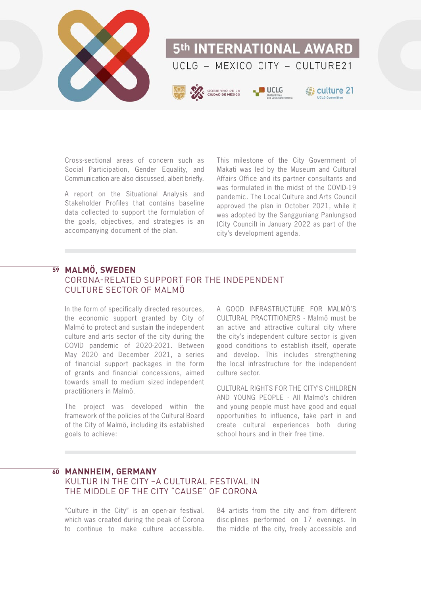

Cross-sectional areas of concern such as Social Participation, Gender Equality, and Communication are also discussed, albeit briefly.

A report on the Situational Analysis and Stakeholder Profiles that contains baseline data collected to support the formulation of the goals, objectives, and strategies is an accompanying document of the plan.

This milestone of the City Government of Makati was led by the Museum and Cultural Affairs Office and its partner consultants and was formulated in the midst of the COVID-19 pandemic. The Local Culture and Arts Council approved the plan in October 2021, while it was adopted by the Sangguniang Panlungsod (City Council) in January 2022 as part of the city's development agenda.

# **MALMÖ, SWEDEN 59** CORONA-RELATED SUPPORT FOR THE INDEPENDENT CULTURE SECTOR OF MALMÖ

In the form of specifically directed resources, the economic support granted by City of Malmö to protect and sustain the independent culture and arts sector of the city during the COVID pandemic of 2020-2021. Between May 2020 and December 2021, a series of financial support packages in the form of grants and financial concessions, aimed towards small to medium sized independent practitioners in Malmö.

The project was developed within the framework of the policies of the Cultural Board of the City of Malmö, including its established goals to achieve:

A GOOD INFRASTRUCTURE FOR MALMÖ'S CULTURAL PRACTITIONERS - Malmö must be an active and attractive cultural city where the city's independent culture sector is given good conditions to establish itself, operate and develop. This includes strengthening the local infrastructure for the independent culture sector.

CULTURAL RIGHTS FOR THE CITY'S CHILDREN AND YOUNG PEOPLE - All Malmö's children and young people must have good and equal opportunities to influence, take part in and create cultural experiences both during school hours and in their free time.

# $\overline{60}$  **MANNHEIM, GERMANY**

# KULTUR IN THE CITY –A CULTURAL FESTIVAL IN THE MIDDLE OF THE CITY "CAUSE" OF CORONA

"Culture in the City" is an open-air festival, which was created during the peak of Corona to continue to make culture accessible.

84 artists from the city and from different disciplines performed on 17 evenings. In the middle of the city, freely accessible and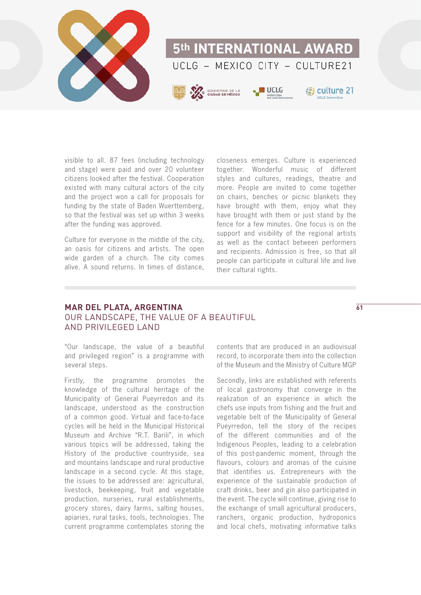

visible to all. 87 fees (including technology and stage) were paid and over 20 volunteer citizens looked after the festival. Cooperation existed with many cultural actors of the city and the project won a call for proposals for funding by the state of Baden Wuerttemberg, so that the festival was set up within 3 weeks after the funding was approved.

Culture for everyone in the middle of the city, an oasis for citizens and artists. The open wide garden of a church. The city comes alive. A sound returns. In times of distance,

closeness emerges. Culture is experienced together. Wonderful music of different styles and cultures, readings, theatre and more. People are invited to come together on chairs, benches or picnic blankets they have brought with them, enjoy what they have brought with them or just stand by the fence for a few minutes. One focus is on the support and visibility of the regional artists as well as the contact between performers and recipients. Admission is free, so that all people can participate in cultural life and live their cultural rights.

# **MAR DEL PLATA, ARGENTINA** OUR LANDSCAPE, THE VALUE OF A BEAUTIFUL AND PRIVILEGED LAND

"Our landscape, the value of a beautiful and privileged region" is a programme with several steps.

Firstly, the programme promotes the knowledge of the cultural heritage of the Municipality of General Pueyrredon and its landscape, understood as the construction of a common good. Virtual and face-to-face cycles will be held in the Municipal Historical Museum and Archive "R.T. Barili", in which various topics will be addressed, taking the History of the productive countryside, sea and mountains landscape and rural productive landscape in a second cycle. At this stage, the issues to be addressed are: agricultural, livestock, beekeeping, fruit and vegetable production, nurseries, rural establishments, grocery stores, dairy farms, salting houses, apiaries, rural tasks, tools, technologies. The current programme contemplates storing the

contents that are produced in an audiovisual record, to incorporate them into the collection of the Museum and the Ministry of Culture MGP

Secondly, links are established with referents of local gastronomy that converge in the realization of an experience in which the chefs use inputs from fishing and the fruit and vegetable belt of the Municipality of General Pueyrredon, tell the story of the recipes of the different communities and of the Indigenous Peoples, leading to a celebration of this post-pandemic moment, through the flavours, colours and aromas of the cuisine that identifies us. Entrepreneurs with the experience of the sustainable production of craft drinks, beer and gin also participated in the event. The cycle will continue, giving rise to the exchange of small agricultural producers, ranchers, organic production, hydroponics and local chefs, motivating informative talks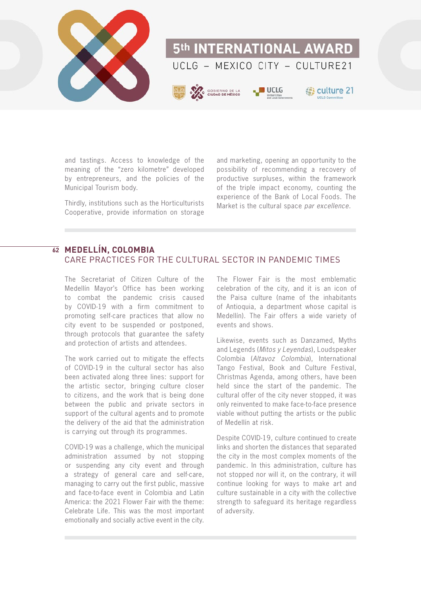

and tastings. Access to knowledge of the meaning of the "zero kilometre" developed by entrepreneurs, and the policies of the Municipal Tourism body.

Thirdly, institutions such as the Horticulturists Cooperative, provide information on storage

and marketing, opening an opportunity to the possibility of recommending a recovery of productive surpluses, within the framework of the triple impact economy, counting the experience of the Bank of Local Foods. The Market is the cultural space par excellence.

# **MEDELLÍN, COLOMBIA 62**CARE PRACTICES FOR THE CULTURAL SECTOR IN PANDEMIC TIMES

The Secretariat of Citizen Culture of the Medellín Mayor's Office has been working to combat the pandemic crisis caused by COVID-19 with a firm commitment to promoting self-care practices that allow no city event to be suspended or postponed, through protocols that guarantee the safety and protection of artists and attendees.

The work carried out to mitigate the effects of COVID-19 in the cultural sector has also been activated along three lines: support for the artistic sector, bringing culture closer to citizens, and the work that is being done between the public and private sectors in support of the cultural agents and to promote the delivery of the aid that the administration is carrying out through its programmes.

COVID-19 was a challenge, which the municipal administration assumed by not stopping or suspending any city event and through a strategy of general care and self-care, managing to carry out the first public, massive and face-to-face event in Colombia and Latin America: the 2021 Flower Fair with the theme: Celebrate Life. This was the most important emotionally and socially active event in the city.

The Flower Fair is the most emblematic celebration of the city, and it is an icon of the Paisa culture (name of the inhabitants of Antioquia, a department whose capital is Medellín). The Fair offers a wide variety of events and shows.

Likewise, events such as Danzamed, Myths and Legends (Mitos y Leyendas), Loudspeaker Colombia (Altavoz Colombia), International Tango Festival, Book and Culture Festival, Christmas Agenda, among others, have been held since the start of the pandemic. The cultural offer of the city never stopped, it was only reinvented to make face-to-face presence viable without putting the artists or the public of Medellín at risk.

Despite COVID-19, culture continued to create links and shorten the distances that separated the city in the most complex moments of the pandemic. In this administration, culture has not stopped nor will it, on the contrary, it will continue looking for ways to make art and culture sustainable in a city with the collective strength to safeguard its heritage regardless of adversity.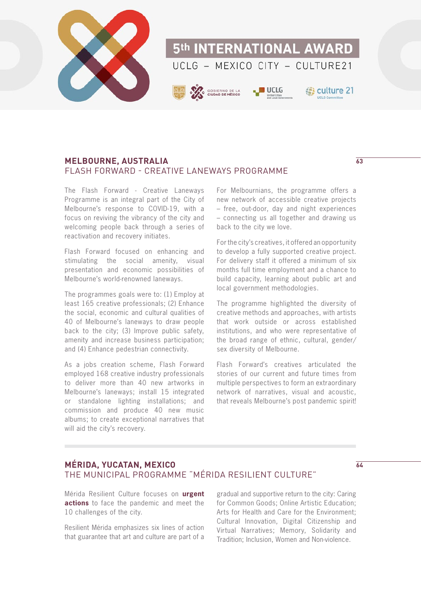

# **MELBOURNE, AUSTRALIA 63** FLASH FORWARD - CREATIVE LANEWAYS PROGRAMME

The Flash Forward - Creative Laneways Programme is an integral part of the City of Melbourne's response to COVID-19, with a focus on reviving the vibrancy of the city and welcoming people back through a series of reactivation and recovery initiates.

Flash Forward focused on enhancing and stimulating the social amenity, visual presentation and economic possibilities of Melbourne's world-renowned laneways.

The programmes goals were to: (1) Employ at least 165 creative professionals; (2) Enhance the social, economic and cultural qualities of 40 of Melbourne's laneways to draw people back to the city; (3) Improve public safety, amenity and increase business participation; and (4) Enhance pedestrian connectivity.

As a jobs creation scheme, Flash Forward employed 168 creative industry professionals to deliver more than 40 new artworks in Melbourne's laneways; install 15 integrated or standalone lighting installations; and commission and produce 40 new music albums; to create exceptional narratives that will aid the city's recovery.

For Melbournians, the programme offers a new network of accessible creative projects – free, out-door, day and night experiences – connecting us all together and drawing us back to the city we love.

For the city's creatives, it offered an opportunity to develop a fully supported creative project. For delivery staff it offered a minimum of six months full time employment and a chance to build capacity, learning about public art and local government methodologies.

The programme highlighted the diversity of creative methods and approaches, with artists that work outside or across established institutions, and who were representative of the broad range of ethnic, cultural, gender/ sex diversity of Melbourne.

Flash Forward's creatives articulated the stories of our current and future times from multiple perspectives to form an extraordinary network of narratives, visual and acoustic, that reveals Melbourne's post pandemic spirit!

# **MÉRIDA, YUCATAN, MEXICO** THE MUNICIPAL PROGRAMME "MÉRIDA RESILIENT CULTURE"

Mérida Resilient Culture focuses on **[urgent](http://prensa.merida.gob.mx/8763/Merida-avanza-unida-y-solidaria-para-superar-los-retos-que-impone-la-crisis-ocasionada-por-la-pandemia-afirma -the-mayor-Renan-Barrera)  [actions](http://prensa.merida.gob.mx/8763/Merida-avanza-unida-y-solidaria-para-superar-los-retos-que-impone-la-crisis-ocasionada-por-la-pandemia-afirma -the-mayor-Renan-Barrera)** to face the pandemic and meet the 10 challenges of the city.

Resilient Mérida emphasizes six lines of action that guarantee that art and culture are part of a

gradual and supportive return to the city: Caring for Common Goods; Online Artistic Education; Arts for Health and Care for the Environment; Cultural Innovation, Digital Citizenship and Virtual Narratives; Memory, Solidarity and Tradition; Inclusion, Women and Non-violence.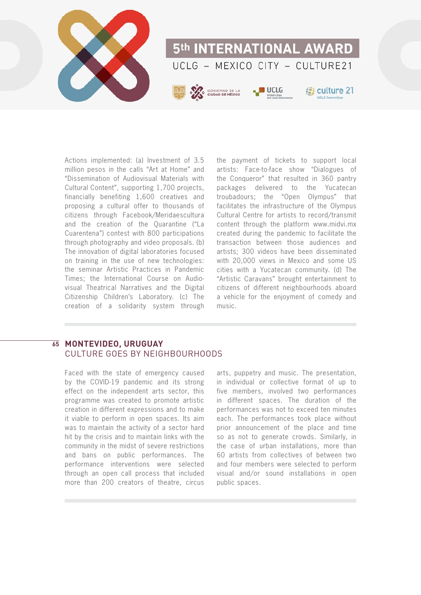

Actions implemented: (a) Investment of 3.5 million pesos in the calls "Art at Home" and "Dissemination of Audiovisual Materials with Cultural Content", supporting 1,700 projects, financially benefiting 1,600 creatives and proposing a cultural offer to thousands of citizens through Facebook/Meridaescultura and the creation of the Quarantine ("La Cuarentena") contest with 800 participations through photography and video proposals. (b) The innovation of digital laboratories focused on training in the use of new technologies: the seminar Artistic Practices in Pandemic Times; the International Course on Audiovisual Theatrical Narratives and the Digital Citizenship Children's Laboratory. (c) The creation of a solidarity system through

the payment of tickets to support local artists: Face-to-face show "Dialogues of the Conqueror" that resulted in 360 pantry packages delivered to the Yucatecan troubadours; the "Open Olympus" that facilitates the infrastructure of the Olympus Cultural Centre for artists to record/transmit content through the platform www.midvi.mx created during the pandemic to facilitate the transaction between those audiences and artists; 300 videos have been disseminated with 20,000 views in Mexico and some US cities with a Yucatecan community. (d) The "Artistic Caravans" brought entertainment to citizens of different neighbourhoods aboard a vehicle for the enjoyment of comedy and music.

# $\overline{65}$  **MONTEVIDEO, URUGUAY** CULTURE GOES BY NEIGHBOURHOODS

Faced with the state of emergency caused by the COVID-19 pandemic and its strong effect on the independent arts sector, this programme was created to promote artistic creation in different expressions and to make it viable to perform in open spaces. Its aim was to maintain the activity of a sector hard hit by the crisis and to maintain links with the community in the midst of severe restrictions and bans on public performances. The performance interventions were selected through an open call process that included more than 200 creators of theatre, circus

arts, puppetry and music. The presentation, in individual or collective format of up to five members, involved two performances in different spaces. The duration of the performances was not to exceed ten minutes each. The performances took place without prior announcement of the place and time so as not to generate crowds. Similarly, in the case of urban installations, more than 60 artists from collectives of between two and four members were selected to perform visual and/or sound installations in open public spaces.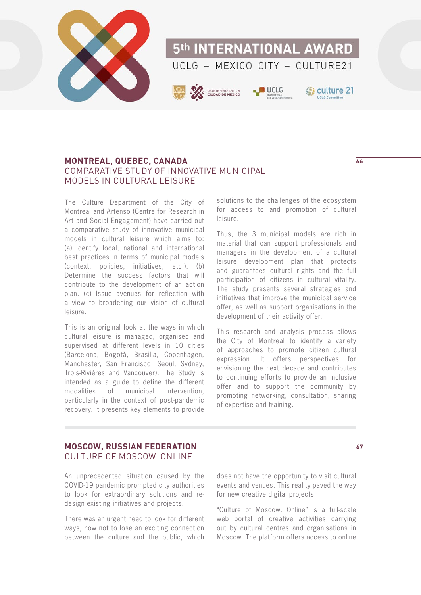

# **MONTREAL, QUEBEC, CANADA** COMPARATIVE STUDY OF INNOVATIVE MUNICIPAL MODELS IN CULTURAL LEISURE

The Culture Department of the City of Montreal and Artenso (Centre for Research in Art and Social Engagement) have carried out a comparative study of innovative municipal models in cultural leisure which aims to: (a) Identify local, national and international best practices in terms of municipal models (context, policies, initiatives, etc.). (b) Determine the success factors that will contribute to the development of an action plan. (c) Issue avenues for reflection with a view to broadening our vision of cultural leisure.

This is an original look at the ways in which cultural leisure is managed, organised and supervised at different levels in 10 cities (Barcelona, Bogotà, Brasilia, Copenhagen, Manchester, San Francisco, Seoul, Sydney, Trois-Rivières and Vancouver). The Study is intended as a guide to define the different modalities of municipal intervention, particularly in the context of post-pandemic recovery. It presents key elements to provide

solutions to the challenges of the ecosystem for access to and promotion of cultural leisure.

Thus, the 3 municipal models are rich in material that can support professionals and managers in the development of a cultural leisure development plan that protects and guarantees cultural rights and the full participation of citizens in cultural vitality. The study presents several strategies and initiatives that improve the municipal service offer, as well as support organisations in the development of their activity offer.

This research and analysis process allows the City of Montreal to identify a variety of approaches to promote citizen cultural expression. It offers perspectives for envisioning the next decade and contributes to continuing efforts to provide an inclusive offer and to support the community by promoting networking, consultation, sharing of expertise and training.

# **MOSCOW, RUSSIAN FEDERATION** CULTURE OF MOSCOW. ONLINE

An unprecedented situation caused by the COVID-19 pandemic prompted city authorities to look for extraordinary solutions and redesign existing initiatives and projects.

There was an urgent need to look for different ways, how not to lose an exciting connection between the culture and the public, which

does not have the opportunity to visit cultural events and venues. This reality paved the way for new creative digital projects.

"Culture of Moscow. Online" is a full-scale web portal of creative activities carrying out by cultural centres and organisations in Moscow. The platform offers access to online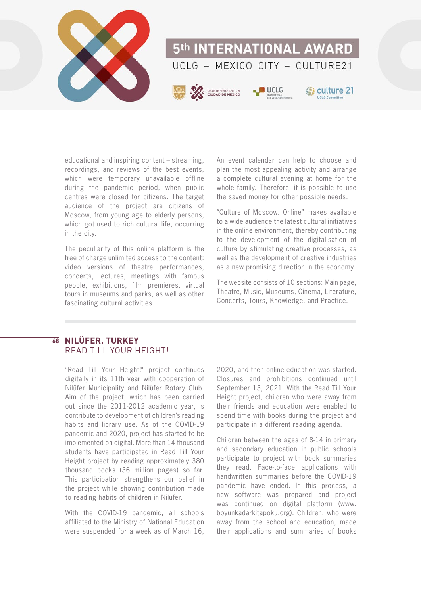

educational and inspiring content – streaming, recordings, and reviews of the best events, which were temporary unavailable offline during the pandemic period, when public centres were closed for citizens. The target audience of the project are citizens of Moscow, from young age to elderly persons, which got used to rich cultural life, occurring in the city.

The peculiarity of this online platform is the free of charge unlimited access to the content: video versions of theatre performances, concerts, lectures, meetings with famous people, exhibitions, film premieres, virtual tours in museums and parks, as well as other fascinating cultural activities.

An event calendar can help to choose and plan the most appealing activity and arrange a complete cultural evening at home for the whole family. Therefore, it is possible to use the saved money for other possible needs.

"Culture of Moscow. Online" makes available to a wide audience the latest cultural initiatives in the online environment, thereby contributing to the development of the digitalisation of culture by stimulating creative processes, as well as the development of creative industries as a new promising direction in the economy.

The website consists of 10 sections: Main page, Theatre, Music, Museums, Cinema, Literature, Concerts, Tours, Knowledge, and Practice.

# **NILÜFER, TURKEY 68**READ TILL YOUR HEIGHT!

"Read Till Your Height!" project continues digitally in its 11th year with cooperation of Nilüfer Municipality and Nilüfer Rotary Club. Aim of the project, which has been carried out since the 2011-2012 academic year, is contribute to development of children's reading habits and library use. As of the COVID-19 pandemic and 2020, project has started to be implemented on digital. More than 14 thousand students have participated in Read Till Your Height project by reading approximately 380 thousand books (36 million pages) so far. This participation strengthens our belief in the project while showing contribution made to reading habits of children in Nilüfer.

With the COVID-19 pandemic, all schools affiliated to the Ministry of National Education were suspended for a week as of March 16,

2020, and then online education was started. Closures and prohibitions continued until September 13, 2021. With the Read Till Your Height project, children who were away from their friends and education were enabled to spend time with books during the project and participate in a different reading agenda.

Children between the ages of 8-14 in primary and secondary education in public schools participate to project with book summaries they read. Face-to-face applications with handwritten summaries before the COVID-19 pandemic have ended. In this process, a new software was prepared and project was continued on digital platform (www. boyunkadarkitapoku.org). Children, who were away from the school and education, made their applications and summaries of books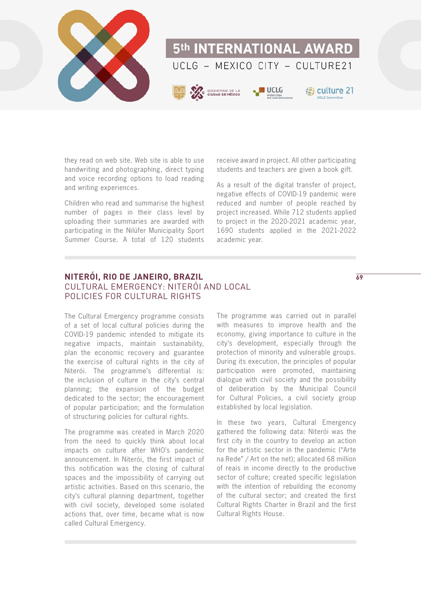

they read on web site. Web site is able to use handwriting and photographing, direct typing and voice recording options to load reading and writing experiences.

Children who read and summarise the highest number of pages in their class level by uploading their summaries are awarded with participating in the Nilüfer Municipality Sport Summer Course. A total of 120 students

receive award in project. All other participating students and teachers are given a book gift.

As a result of the digital transfer of project, negative effects of COVID-19 pandemic were reduced and number of people reached by project increased. While 712 students applied to project in the 2020-2021 academic year, 1690 students applied in the 2021-2022 academic year.

# **NITERÓI, RIO DE JANEIRO, BRAZIL** CULTURAL EMERGENCY: NITERÓI AND LOCAL POLICIES FOR CULTURAL RIGHTS

The Cultural Emergency programme consists of a set of local cultural policies during the COVID-19 pandemic intended to mitigate its negative impacts, maintain sustainability, plan the economic recovery and guarantee the exercise of cultural rights in the city of Niterói. The programme's differential is: the inclusion of culture in the city's central planning; the expansion of the budget dedicated to the sector; the encouragement of popular participation; and the formulation of structuring policies for cultural rights.

The programme was created in March 2020 from the need to quickly think about local impacts on culture after WHO's pandemic announcement. In Niterói, the first impact of this notification was the closing of cultural spaces and the impossibility of carrying out artistic activities. Based on this scenario, the city's cultural planning department, together with civil society, developed some isolated actions that, over time, became what is now called Cultural Emergency.

The programme was carried out in parallel with measures to improve health and the economy, giving importance to culture in the city's development, especially through the protection of minority and vulnerable groups. During its execution, the principles of popular participation were promoted, maintaining dialogue with civil society and the possibility of deliberation by the Municipal Council for Cultural Policies, a civil society group established by local legislation.

In these two years, Cultural Emergency gathered the following data: Niterói was the first city in the country to develop an action for the artistic sector in the pandemic ("Arte na Rede" / Art on the net); allocated 68 million of reais in income directly to the productive sector of culture; created specific legislation with the intention of rebuilding the economy of the cultural sector; and created the first Cultural Rights Charter in Brazil and the first Cultural Rights House.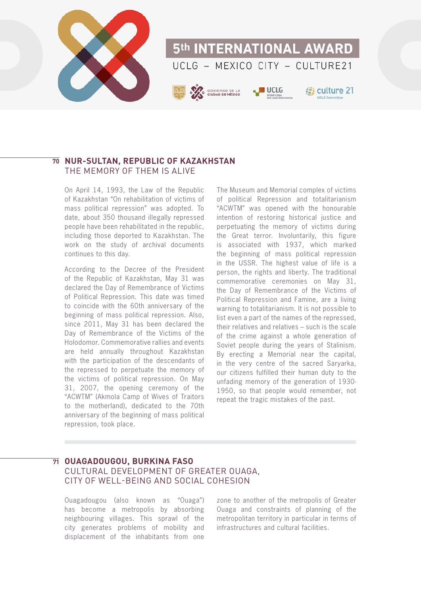

# $\overline{\bm{\eta}}$  NUR-SULTAN, REPUBLIC OF KAZAKHSTAN THE MEMORY OF THEM IS ALIVE

On April 14, 1993, the Law of the Republic of Kazakhstan "On rehabilitation of victims of mass political repression" was adopted. To date, about 350 thousand illegally repressed people have been rehabilitated in the republic, including those deported to Kazakhstan. The work on the study of archival documents continues to this day.

According to the Decree of the President of the Republic of Kazakhstan, May 31 was declared the Day of Remembrance of Victims of Political Repression. This date was timed to coincide with the 60th anniversary of the beginning of mass political repression. Also, since 2011, May 31 has been declared the Day of Remembrance of the Victims of the Holodomor. Commemorative rallies and events are held annually throughout Kazakhstan with the participation of the descendants of the repressed to perpetuate the memory of the victims of political repression. On May 31, 2007, the opening ceremony of the "ACWTM" (Akmola Camp of Wives of Traitors to the motherland), dedicated to the 70th anniversary of the beginning of mass political repression, took place.

The Museum and Memorial complex of victims of political Repression and totalitarianism "ACWTM" was opened with the honourable intention of restoring historical justice and perpetuating the memory of victims during the Great terror. Involuntarily, this figure is associated with 1937, which marked the beginning of mass political repression in the USSR. The highest value of life is a person, the rights and liberty. The traditional commemorative ceremonies on May 31, the Day of Remembrance of the Victims of Political Repression and Famine, are a living warning to totalitarianism. It is not possible to list even a part of the names of the repressed, their relatives and relatives – such is the scale of the crime against a whole generation of Soviet people during the years of Stalinism. By erecting a Memorial near the capital, in the very centre of the sacred Saryarka, our citizens fulfilled their human duty to the unfading memory of the generation of 1930- 1950, so that people would remember, not repeat the tragic mistakes of the past.

# **OUAGADOUGOU, BURKINA FASO 71**CULTURAL DEVELOPMENT OF GREATER OUAGA, CITY OF WELL-BEING AND SOCIAL COHESION

Ouagadougou (also known as "Ouaga") has become a metropolis by absorbing neighbouring villages. This sprawl of the city generates problems of mobility and displacement of the inhabitants from one

zone to another of the metropolis of Greater Ouaga and constraints of planning of the metropolitan territory in particular in terms of infrastructures and cultural facilities.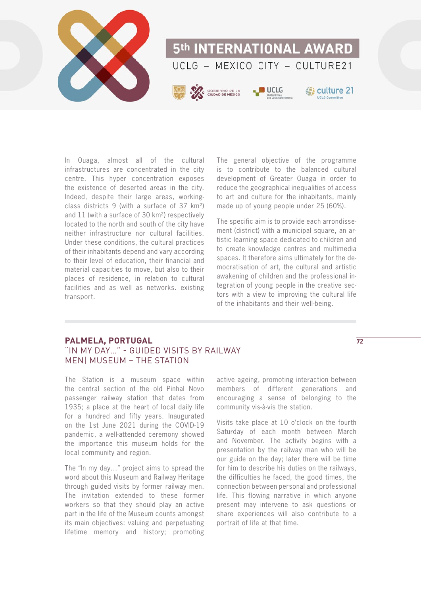

In Ouaga, almost all of the cultural infrastructures are concentrated in the city centre. This hyper concentration exposes the existence of deserted areas in the city. Indeed, despite their large areas, workingclass districts 9 (with a surface of 37 km²) and 11 (with a surface of 30 km²) respectively located to the north and south of the city have neither infrastructure nor cultural facilities. Under these conditions, the cultural practices of their inhabitants depend and vary according to their level of education, their financial and material capacities to move, but also to their places of residence, in relation to cultural facilities and as well as networks. existing transport.

The general objective of the programme is to contribute to the balanced cultural development of Greater Ouaga in order to reduce the geographical inequalities of access to art and culture for the inhabitants, mainly made up of young people under 25 (60%).

The specific aim is to provide each arrondissement (district) with a municipal square, an artistic learning space dedicated to children and to create knowledge centres and multimedia spaces. It therefore aims ultimately for the democratisation of art, the cultural and artistic awakening of children and the professional integration of young people in the creative sectors with a view to improving the cultural life of the inhabitants and their well-being.

# **PALMELA, PORTUGAL** "IN MY DAY…" - GUIDED VISITS BY RAILWAY MEN| MUSEUM – THE STATION

The Station is a museum space within the central section of the old Pinhal Novo passenger railway station that dates from 1935; a place at the heart of local daily life for a hundred and fifty years. Inaugurated on the 1st June 2021 during the COVID-19 pandemic, a well-attended ceremony showed the importance this museum holds for the local community and region.

The "In my day…" project aims to spread the word about this Museum and Railway Heritage through guided visits by former railway men. The invitation extended to these former workers so that they should play an active part in the life of the Museum counts amongst its main objectives: valuing and perpetuating lifetime memory and history; promoting active ageing, promoting interaction between members of different generations and encouraging a sense of belonging to the community vis-à-vis the station.

Visits take place at 10 o'clock on the fourth Saturday of each month between March and November. The activity begins with a presentation by the railway man who will be our guide on the day; later there will be time for him to describe his duties on the railways, the difficulties he faced, the good times, the connection between personal and professional life. This flowing narrative in which anyone present may intervene to ask questions or share experiences will also contribute to a portrait of life at that time.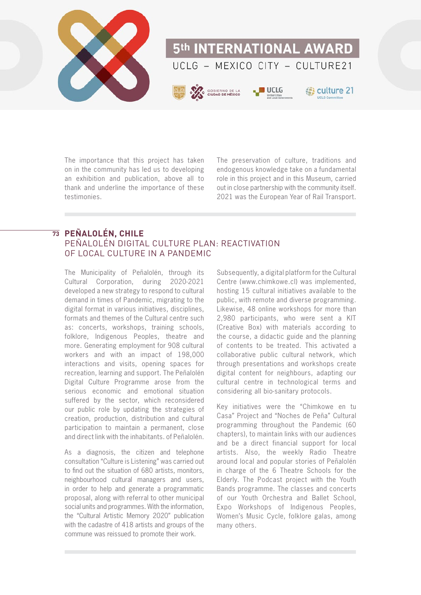

The importance that this project has taken on in the community has led us to developing an exhibition and publication, above all to thank and underline the importance of these testimonies.

The preservation of culture, traditions and endogenous knowledge take on a fundamental role in this project and in this Museum, carried out in close partnership with the community itself. 2021 was the European Year of Rail Transport.

# **PEÑALOLÉN, CHILE 73**PEÑALOLÉN DIGITAL CULTURE PLAN: REACTIVATION OF LOCAL CULTURE IN A PANDEMIC

The Municipality of Peñalolén, through its Cultural Corporation, during 2020-2021 developed a new strategy to respond to cultural demand in times of Pandemic, migrating to the digital format in various initiatives, disciplines, formats and themes of the Cultural centre such as: concerts, workshops, training schools, folklore, Indigenous Peoples, theatre and more. Generating employment for 908 cultural workers and with an impact of 198,000 interactions and visits, opening spaces for recreation, learning and support. The Peñalolén Digital Culture Programme arose from the serious economic and emotional situation suffered by the sector, which reconsidered our public role by updating the strategies of creation, production, distribution and cultural participation to maintain a permanent, close and direct link with the inhabitants. of Peñalolén.

As a diagnosis, the citizen and telephone consultation "Culture is Listening" was carried out to find out the situation of 680 artists, monitors, neighbourhood cultural managers and users, in order to help and generate a programmatic proposal, along with referral to other municipal social units and programmes. With the information, the "Cultural Artistic Memory 2020" publication with the cadastre of 418 artists and groups of the commune was reissued to promote their work.

Subsequently, a digital platform for the Cultural Centre (www.chimkowe.cl) was implemented, hosting 15 cultural initiatives available to the public, with remote and diverse programming. Likewise, 48 online workshops for more than 2,980 participants, who were sent a KIT (Creative Box) with materials according to the course, a didactic guide and the planning of contents to be treated. This activated a collaborative public cultural network, which through presentations and workshops create digital content for neighbours, adapting our cultural centre in technological terms and considering all bio-sanitary protocols.

Key initiatives were the "Chimkowe en tu Casa" Project and "Noches de Peña" Cultural programming throughout the Pandemic (60 chapters), to maintain links with our audiences and be a direct financial support for local artists. Also, the weekly Radio Theatre around local and popular stories of Peñalolén in charge of the 6 Theatre Schools for the Elderly. The Podcast project with the Youth Bands programme. The classes and concerts of our Youth Orchestra and Ballet School, Expo Workshops of Indigenous Peoples, Women's Music Cycle, folklore galas, among many others.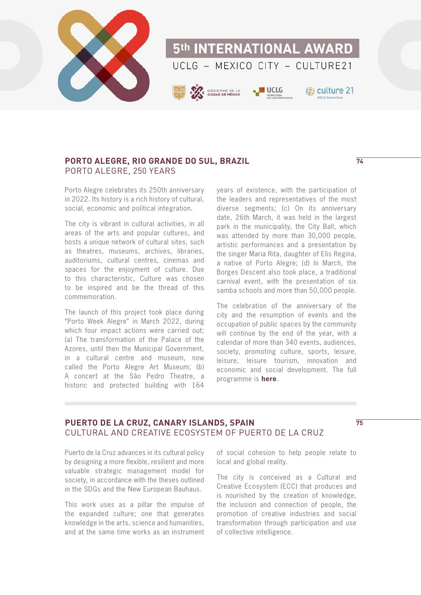

# **PORTO ALEGRE, RIO GRANDE DO SUL, BRAZIL** PORTO ALEGRE, 250 YEARS

Porto Alegre celebrates its 250th anniversary in 2022. Its history is a rich history of cultural, social, economic and political integration.

The city is vibrant in cultural activities, in all areas of the arts and popular cultures, and hosts a unique network of cultural sites, such as theatres, museums, archives, libraries, auditoriums, cultural centres, cinemas and spaces for the enjoyment of culture. Due to this characteristic, Culture was chosen to be inspired and be the thread of this commemoration.

The launch of this project took place during "Porto Week Alegre" in March 2022, during which four impact actions were carried out: (a) The transformation of the Palace of the Azores, until then the Municipal Government, in a cultural centre and museum, now called the Porto Alegre Art Museum; (b) A concert at the Sâo Pedro Theatre, a historic and protected building with 164

years of existence, with the participation of the leaders and representatives of the most diverse segments; (c) On its anniversary date, 26th March, it was held in the largest park in the municipality, the City Ball, which was attended by more than 30,000 people, artistic performances and a presentation by the singer Maria Rita, daughter of Elis Regina, a native of Porto Alegre; (d) In March, the Borges Descent also took place, a traditional carnival event, with the presentation of six samba schools and more than 50,000 people.

The celebration of the anniversary of the city and the resumption of events and the occupation of public spaces by the community will continue by the end of the year, with a calendar of more than 340 events, audiences, society, promoting culture, sports, leisure, leisure, leisure tourism, innovation and economic and social development. The full programme is **[here](https://poa250anos.com.br/programacao)**.

# **PUERTO DE LA CRUZ, CANARY ISLANDS, SPAIN** CULTURAL AND CREATIVE ECOSYSTEM OF PUERTO DE LA CRUZ

**75**

Puerto de la Cruz advances in its cultural policy by designing a more flexible, resilient and more valuable strategic management model for society, in accordance with the theses outlined in the SDGs and the New European Bauhaus.

This work uses as a pillar the impulse of the expanded culture; one that generates knowledge in the arts, science and humanities, and at the same time works as an instrument

of social cohesion to help people relate to local and global reality.

The city is conceived as a Cultural and Creative Ecosystem (ECC) that produces and is nourished by the creation of knowledge, the inclusion and connection of people, the promotion of creative industries and social transformation through participation and use of collective intelligence.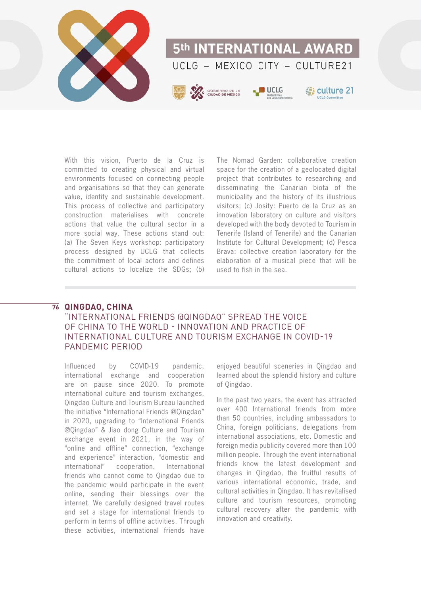

With this vision, Puerto de la Cruz is committed to creating physical and virtual environments focused on connecting people and organisations so that they can generate value, identity and sustainable development. This process of collective and participatory construction materialises with concrete actions that value the cultural sector in a more social way. These actions stand out: (a) The Seven Keys workshop: participatory process designed by UCLG that collects the commitment of local actors and defines cultural actions to localize the SDGs; (b)

The Nomad Garden: collaborative creation space for the creation of a geolocated digital project that contributes to researching and disseminating the Canarian biota of the municipality and the history of its illustrious visitors; (c) Josity: Puerto de la Cruz as an innovation laboratory on culture and visitors developed with the body devoted to Tourism in Tenerife (Island of Tenerife) and the Canarian Institute for Cultural Development; (d) Pesca Brava: collective creation laboratory for the elaboration of a musical piece that will be used to fish in the sea.

#### **QINGDAO, CHINA 76**

# "INTERNATIONAL FRIENDS @QINGDAO" SPREAD THE VOICE OF CHINA TO THE WORLD - INNOVATION AND PRACTICE OF INTERNATIONAL CULTURE AND TOURISM EXCHANGE IN COVID-19 PANDEMIC PERIOD

Influenced by COVID-19 pandemic, international exchange and cooperation are on pause since 2020. To promote international culture and tourism exchanges, Qingdao Culture and Tourism Bureau launched the initiative "International Friends @Qingdao" in 2020, upgrading to "International Friends @Qingdao" & Jiao dong Culture and Tourism exchange event in 2021, in the way of "online and offline" connection, "exchange and experience" interaction, "domestic and international" cooperation. International friends who cannot come to Qingdao due to the pandemic would participate in the event online, sending their blessings over the internet. We carefully designed travel routes and set a stage for international friends to perform in terms of offline activities. Through these activities, international friends have

enjoyed beautiful sceneries in Qingdao and learned about the splendid history and culture of Qingdao.

In the past two years, the event has attracted over 400 International friends from more than 50 countries, including ambassadors to China, foreign politicians, delegations from international associations, etc. Domestic and foreign media publicity covered more than 100 million people. Through the event international friends know the latest development and changes in Qingdao, the fruitful results of various international economic, trade, and cultural activities in Qingdao. It has revitalised culture and tourism resources, promoting cultural recovery after the pandemic with innovation and creativity.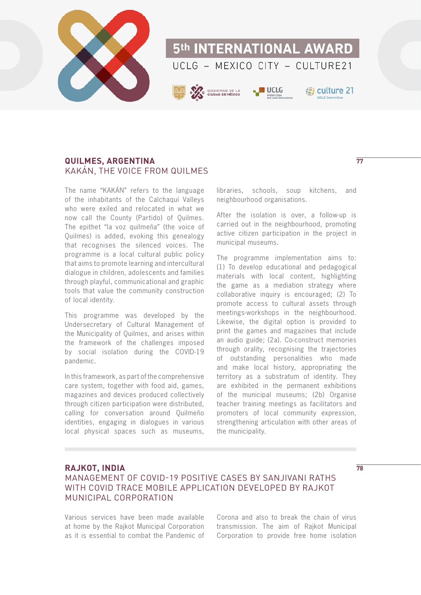

# **QUILMES, ARGENTINA** KAKÁN, THE VOICE FROM QUILMES

The name "KAKÁN" refers to the language of the inhabitants of the Calchaquí Valleys who were exiled and relocated in what we now call the County (Partido) of Quilmes. The epithet "la voz quilmeña" (the voice of Quilmes) is added, evoking this genealogy that recognises the silenced voices. The programme is a local cultural public policy that aims to promote learning and intercultural dialogue in children, adolescents and families through playful, communicational and graphic tools that value the community construction of local identity.

This programme was developed by the Undersecretary of Cultural Management of the Municipality of Quilmes, and arises within the framework of the challenges imposed by social isolation during the COVID-19 pandemic.

In this framework, as part of the comprehensive care system, together with food aid, games, magazines and devices produced collectively through citizen participation were distributed, calling for conversation around Quilmeño identities, engaging in dialogues in various local physical spaces such as museums, libraries, schools, soup kitchens, and neighbourhood organisations.

After the isolation is over, a follow-up is carried out in the neighbourhood, promoting active citizen participation in the project in municipal museums.

The programme implementation aims to: (1) To develop educational and pedagogical materials with local content, highlighting the game as a mediation strategy where collaborative inquiry is encouraged; (2) To promote access to cultural assets through meetings-workshops in the neighbourhood. Likewise, the digital option is provided to print the games and magazines that include an audio guide; (2a). Co-construct memories through orality, recognising the trajectories of outstanding personalities who made and make local history, appropriating the territory as a substratum of identity. They are exhibited in the permanent exhibitions of the municipal museums; (2b) Organise teacher training meetings as facilitators and promoters of local community expression, strengthening articulation with other areas of the municipality.

# **RAJKOT, INDIA** MANAGEMENT OF COVID-19 POSITIVE CASES BY SANJIVANI RATHS WITH COVID TRACE MOBILE APPLICATION DEVELOPED BY RAJKOT MUNICIPAL CORPORATION

Various services have been made available at home by the Rajkot Municipal Corporation as it is essential to combat the Pandemic of

Corona and also to break the chain of virus transmission. The aim of Rajkot Municipal Corporation to provide free home isolation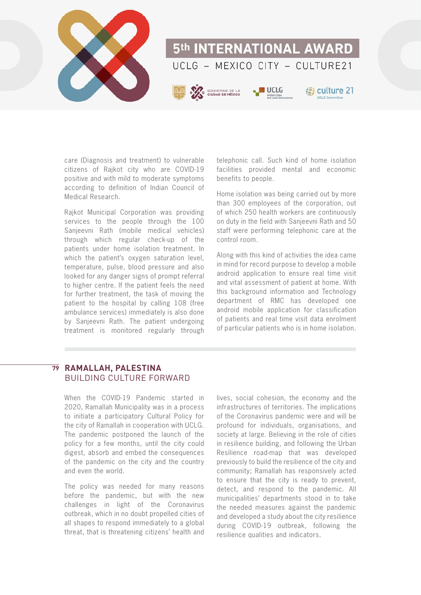

care (Diagnosis and treatment) to vulnerable citizens of Rajkot city who are COVID-19 positive and with mild to moderate symptoms according to definition of Indian Council of Medical Research.

Rajkot Municipal Corporation was providing services to the people through the 100 Sanjeevni Rath (mobile medical vehicles) through which regular check-up of the patients under home isolation treatment. In which the patient's oxygen saturation level, temperature, pulse, blood pressure and also looked for any danger signs of prompt referral to higher centre. If the patient feels the need for further treatment, the task of moving the patient to the hospital by calling 108 (free ambulance services) immediately is also done by Sanjeevni Rath. The patient undergoing treatment is monitored regularly through telephonic call. Such kind of home isolation facilities provided mental and economic benefits to people.

Home isolation was being carried out by more than 300 employees of the corporation, out of which 250 health workers are continuously on duty in the field with Sanjeevni Rath and 50 staff were performing telephonic care at the control room.

Along with this kind of activities the idea came in mind for record purpose to develop a mobile android application to ensure real time visit and vital assessment of patient at home. With this background information and Technology department of RMC has developed one android mobile application for classification of patients and real time visit data enrolment of particular patients who is in home isolation.

### **RAMALLAH, PALESTINA 79**BUILDING CULTURE FORWARD

When the COVID-19 Pandemic started in 2020, Ramallah Municipality was in a process to initiate a participatory Cultural Policy for the city of Ramallah in cooperation with UCLG. The pandemic postponed the launch of the policy for a few months, until the city could digest, absorb and embed the consequences of the pandemic on the city and the country and even the world.

The policy was needed for many reasons before the pandemic, but with the new challenges in light of the Coronavirus outbreak, which in no doubt propelled cities of all shapes to respond immediately to a global threat, that is threatening citizens' health and lives, social cohesion, the economy and the infrastructures of territories. The implications of the Coronavirus pandemic were and will be profound for individuals, organisations, and society at large. Believing in the role of cities in resilience building, and following the Urban Resilience road-map that was developed previously to build the resilience of the city and community; Ramallah has responsively acted to ensure that the city is ready to prevent, detect, and respond to the pandemic. All municipalities' departments stood in to take the needed measures against the pandemic and developed a study about the city resilience during COVID-19 outbreak, following the resilience qualities and indicators.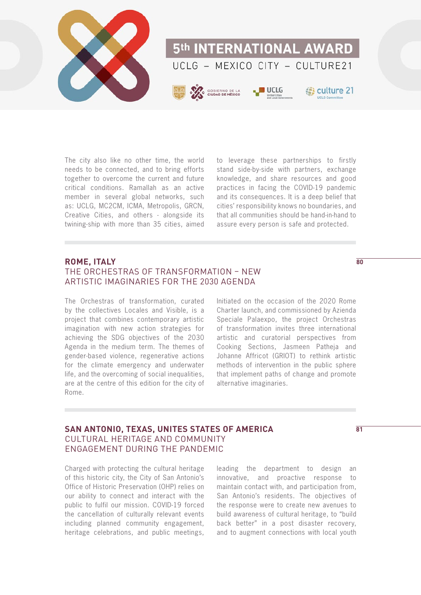

The city also like no other time, the world needs to be connected, and to bring efforts together to overcome the current and future critical conditions. Ramallah as an active member in several global networks, such as: UCLG, MC2CM, ICMA, Metropolis, GRCN, Creative Cities, and others - alongside its twining-ship with more than 35 cities, aimed to leverage these partnerships to firstly stand side-by-side with partners, exchange knowledge, and share resources and good practices in facing the COVID-19 pandemic and its consequences. It is a deep belief that cities' responsibility knows no boundaries, and that all communities should be hand-in-hand to assure every person is safe and protected.

# **ROME, ITALY** THE ORCHESTRAS OF TRANSFORMATION – NEW ARTISTIC IMAGINARIES FOR THE 2030 AGENDA

The Orchestras of transformation, curated by the collectives Locales and Visible, is a project that combines contemporary artistic imagination with new action strategies for achieving the SDG objectives of the 2030 Agenda in the medium term. The themes of gender-based violence, regenerative actions for the climate emergency and underwater life, and the overcoming of social inequalities, are at the centre of this edition for the city of Rome.

Initiated on the occasion of the 2020 Rome Charter launch, and commissioned by Azienda Speciale Palaexpo, the project Orchestras of transformation invites three international artistic and curatorial perspectives from Cooking Sections, Jasmeen Patheja and Johanne Affricot (GRIOT) to rethink artistic methods of intervention in the public sphere that implement paths of change and promote alternative imaginaries.

# **SAN ANTONIO, TEXAS, UNITES STATES OF AMERICA** CULTURAL HERITAGE AND COMMUNITY ENGAGEMENT DURING THE PANDEMIC

Charged with protecting the cultural heritage of this historic city, the City of San Antonio's Office of Historic Preservation (OHP) relies on our ability to connect and interact with the public to fulfil our mission. COVID-19 forced the cancellation of culturally relevant events including planned community engagement, heritage celebrations, and public meetings,

leading the department to design an innovative, and proactive response to maintain contact with, and participation from, San Antonio's residents. The objectives of the response were to create new avenues to build awareness of cultural heritage, to "build back better" in a post disaster recovery, and to augment connections with local youth

**80**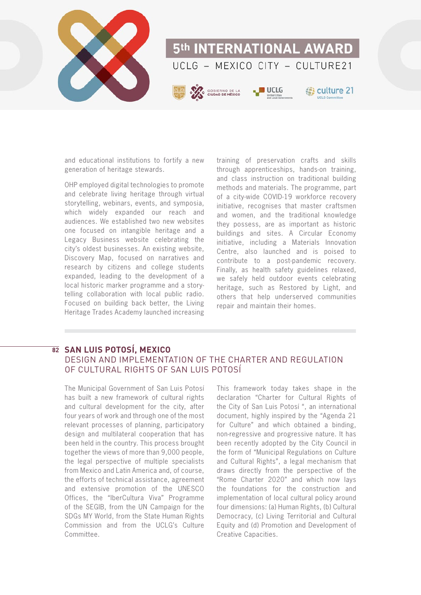

and educational institutions to fortify a new generation of heritage stewards.

OHP employed digital technologies to promote and celebrate living heritage through virtual storytelling, webinars, events, and symposia, which widely expanded our reach and audiences. We established two new websites one focused on intangible heritage and a Legacy Business website celebrating the city's oldest businesses. An existing website, Discovery Map, focused on narratives and research by citizens and college students expanded, leading to the development of a local historic marker programme and a storytelling collaboration with local public radio. Focused on building back better, the Living Heritage Trades Academy launched increasing

training of preservation crafts and skills through apprenticeships, hands-on training, and class instruction on traditional building methods and materials. The programme, part of a city-wide COVID-19 workforce recovery initiative, recognises that master craftsmen and women, and the traditional knowledge they possess, are as important as historic buildings and sites. A Circular Economy initiative, including a Materials Innovation Centre, also launched and is poised to contribute to a post-pandemic recovery. Finally, as health safety guidelines relaxed, we safely held outdoor events celebrating heritage, such as Restored by Light, and others that help underserved communities repair and maintain their homes.

# **SAN LUIS POTOSÍ, MEXICO 82**DESIGN AND IMPLEMENTATION OF THE CHARTER AND REGULATION OF CULTURAL RIGHTS OF SAN LUIS POTOSÍ

The Municipal Government of San Luis Potosí has built a new framework of cultural rights and cultural development for the city, after four years of work and through one of the most relevant processes of planning, participatory design and multilateral cooperation that has been held in the country. This process brought together the views of more than 9,000 people, the legal perspective of multiple specialists from Mexico and Latin America and, of course, the efforts of technical assistance, agreement and extensive promotion of the UNESCO Offices, the "IberCultura Viva" Programme of the SEGIB, from the UN Campaign for the SDGs MY World, from the State Human Rights Commission and from the UCLG's Culture Committee.

This framework today takes shape in the declaration "Charter for Cultural Rights of the City of San Luis Potosí ", an international document, highly inspired by the "Agenda 21 for Culture" and which obtained a binding, non-regressive and progressive nature. It has been recently adopted by the City Council in the form of "Municipal Regulations on Culture and Cultural Rights", a legal mechanism that draws directly from the perspective of the "Rome Charter 2020" and which now lays the foundations for the construction and implementation of local cultural policy around four dimensions: (a) Human Rights, (b) Cultural Democracy, (c) Living Territorial and Cultural Equity and (d) Promotion and Development of Creative Capacities.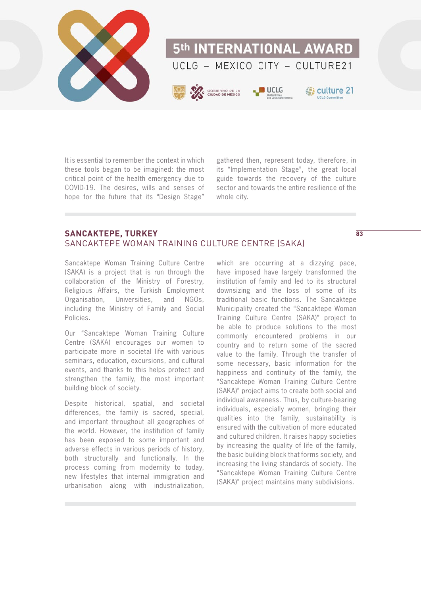

It is essential to remember the context in which these tools began to be imagined: the most critical point of the health emergency due to COVID-19. The desires, wills and senses of hope for the future that its "Design Stage"

gathered then, represent today, therefore, in its "Implementation Stage", the great local guide towards the recovery of the culture sector and towards the entire resilience of the whole city.

**83**

# **SANCAKTEPE, TURKEY** SANCAKTEPE WOMAN TRAINING CULTURE CENTRE (SAKA)

Sancaktepe Woman Training Culture Centre (SAKA) is a project that is run through the collaboration of the Ministry of Forestry, Religious Affairs, the Turkish Employment Organisation, Universities, and NGOs, including the Ministry of Family and Social Policies.

Our "Sancaktepe Woman Training Culture Centre (SAKA) encourages our women to participate more in societal life with various seminars, education, excursions, and cultural events, and thanks to this helps protect and strengthen the family, the most important building block of society.

Despite historical, spatial, and societal differences, the family is sacred, special, and important throughout all geographies of the world. However, the institution of family has been exposed to some important and adverse effects in various periods of history, both structurally and functionally. In the process coming from modernity to today, new lifestyles that internal immigration and urbanisation along with industrialization,

which are occurring at a dizzying pace, have imposed have largely transformed the institution of family and led to its structural downsizing and the loss of some of its traditional basic functions. The Sancaktepe Municipality created the "Sancaktepe Woman Training Culture Centre (SAKA)" project to be able to produce solutions to the most commonly encountered problems in our country and to return some of the sacred value to the family. Through the transfer of some necessary, basic information for the happiness and continuity of the family, the "Sancaktepe Woman Training Culture Centre (SAKA)" project aims to create both social and individual awareness. Thus, by culture-bearing individuals, especially women, bringing their qualities into the family, sustainability is ensured with the cultivation of more educated and cultured children. It raises happy societies by increasing the quality of life of the family, the basic building block that forms society, and increasing the living standards of society. The "Sancaktepe Woman Training Culture Centre (SAKA)" project maintains many subdivisions.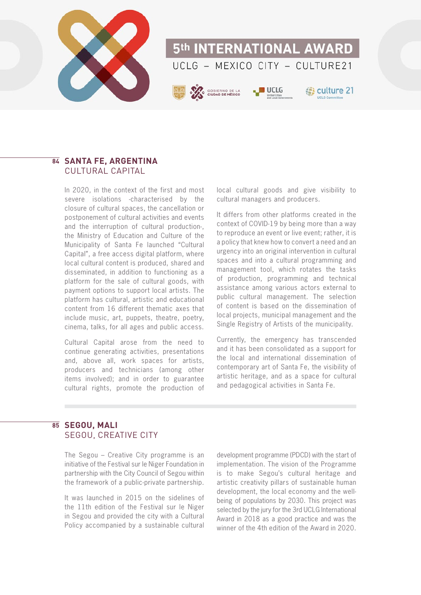

# **SANTA FE, ARGENTINA 84** CULTURAL CAPITAL

In 2020, in the context of the first and most severe isolations -characterised by the closure of cultural spaces, the cancellation or postponement of cultural activities and events and the interruption of cultural production-, the Ministry of Education and Culture of the Municipality of Santa Fe launched "Cultural Capital", a free access digital platform, where local cultural content is produced, shared and disseminated, in addition to functioning as a platform for the sale of cultural goods, with payment options to support local artists. The platform has cultural, artistic and educational content from 16 different thematic axes that include music, art, puppets, theatre, poetry, cinema, talks, for all ages and public access.

Cultural Capital arose from the need to continue generating activities, presentations and, above all, work spaces for artists, producers and technicians (among other items involved); and in order to guarantee cultural rights, promote the production of local cultural goods and give visibility to cultural managers and producers.

It differs from other platforms created in the context of COVID-19 by being more than a way to reproduce an event or live event; rather, it is a policy that knew how to convert a need and an urgency into an original intervention in cultural spaces and into a cultural programming and management tool, which rotates the tasks of production, programming and technical assistance among various actors external to public cultural management. The selection of content is based on the dissemination of local projects, municipal management and the Single Registry of Artists of the municipality.

Currently, the emergency has transcended and it has been consolidated as a support for the local and international dissemination of contemporary art of Santa Fe, the visibility of artistic heritage, and as a space for cultural and pedagogical activities in Santa Fe.

# **SEGOU, MALI 85**SEGOU, CREATIVE CITY

The Segou – Creative City programme is an initiative of the Festival sur le Niger Foundation in partnership with the City Council of Segou within the framework of a public-private partnership.

It was launched in 2015 on the sidelines of the 11th edition of the Festival sur le Niger in Segou and provided the city with a Cultural Policy accompanied by a sustainable cultural development programme (PDCD) with the start of implementation. The vision of the Programme is to make Segou's cultural heritage and artistic creativity pillars of sustainable human development, the local economy and the wellbeing of populations by 2030. This project was selected by the jury for the 3rd UCLG International Award in 2018 as a good practice and was the winner of the 4th edition of the Award in 2020.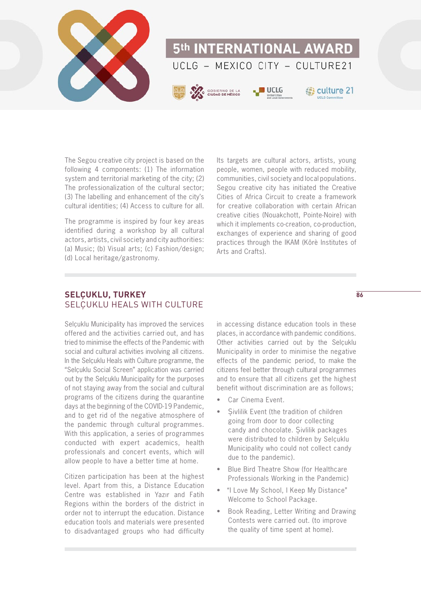

The Segou creative city project is based on the following 4 components: (1) The information system and territorial marketing of the city; (2) The professionalization of the cultural sector; (3) The labelling and enhancement of the city's cultural identities; (4) Access to culture for all.

The programme is inspired by four key areas identified during a workshop by all cultural actors, artists, civil society and city authorities: (a) Music; (b) Visual arts; (c) Fashion/design; (d) Local heritage/gastronomy.

Its targets are cultural actors, artists, young people, women, people with reduced mobility, communities, civil society and local populations. Segou creative city has initiated the Creative Cities of Africa Circuit to create a framework for creative collaboration with certain African creative cities (Nouakchott, Pointe-Noire) with which it implements co-creation, co-production, exchanges of experience and sharing of good practices through the IKAM (Kôrè Institutes of Arts and Crafts).

# **SELÇUKLU, TURKEY** SELÇUKLU HEALS WITH CULTURE

Selcuklu Municipality has improved the services offered and the activities carried out, and has tried to minimise the effects of the Pandemic with social and cultural activities involving all citizens. In the Selçuklu Heals with Culture programme, the "Selçuklu Social Screen" application was carried out by the Selçuklu Municipality for the purposes of not staying away from the social and cultural programs of the citizens during the quarantine days at the beginning of the COVID-19 Pandemic, and to get rid of the negative atmosphere of the pandemic through cultural programmes. With this application, a series of programmes conducted with expert academics, health professionals and concert events, which will allow people to have a better time at home.

Citizen participation has been at the highest level. Apart from this, a Distance Education Centre was established in Yazır and Fatih Regions within the borders of the district in order not to interrupt the education. Distance education tools and materials were presented to disadvantaged groups who had difficulty in accessing distance education tools in these places, in accordance with pandemic conditions. Other activities carried out by the Selcuklu Municipality in order to minimise the negative effects of the pandemic period, to make the citizens feel better through cultural programmes and to ensure that all citizens get the highest benefit without discrimination are as follows;

- Car Cinema Event
- Sivilik Event (the tradition of children going from door to door collecting candy and chocolate. Şivlilik packages were distributed to children by Selçuklu Municipality who could not collect candy due to the pandemic).
- Blue Bird Theatre Show (for Healthcare Professionals Working in the Pandemic)
- "I Love My School, I Keep My Distance" Welcome to School Package.
- Book Reading, Letter Writing and Drawing Contests were carried out. (to improve the quality of time spent at home).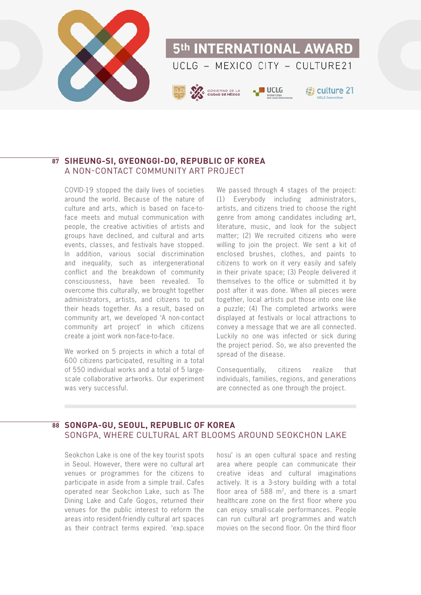

# **SIHEUNG-SI, GYEONGGI-DO, REPUBLIC OF KOREA 87** A NON-CONTACT COMMUNITY ART PROJECT

COVID-19 stopped the daily lives of societies around the world. Because of the nature of culture and arts, which is based on face-toface meets and mutual communication with people, the creative activities of artists and groups have declined, and cultural and arts events, classes, and festivals have stopped. In addition, various social discrimination and inequality, such as intergenerational conflict and the breakdown of community consciousness, have been revealed. To overcome this culturally, we brought together administrators, artists, and citizens to put their heads together. As a result, based on community art, we developed 'A non-contact community art project' in which citizens create a joint work non-face-to-face.

We worked on 5 projects in which a total of 600 citizens participated, resulting in a total of 550 individual works and a total of 5 largescale collaborative artworks. Our experiment was very successful.

We passed through 4 stages of the project: (1) Everybody including administrators, artists, and citizens tried to choose the right genre from among candidates including art, literature, music, and look for the subject matter; (2) We recruited citizens who were willing to join the project. We sent a kit of enclosed brushes, clothes, and paints to citizens to work on it very easily and safely in their private space; (3) People delivered it themselves to the office or submitted it by post after it was done. When all pieces were together, local artists put those into one like a puzzle; (4) The completed artworks were displayed at festivals or local attractions to convey a message that we are all connected. Luckily no one was infected or sick during the project period. So, we also prevented the spread of the disease.

Consequentially, citizens realize that individuals, families, regions, and generations are connected as one through the project.

# $\overline{88}$  SONGPA-GU, SEOUL, REPUBLIC OF KOREA SONGPA, WHERE CULTURAL ART BLOOMS AROUND SEOKCHON LAKE

Seokchon Lake is one of the key tourist spots in Seoul. However, there were no cultural art venues or programmes for the citizens to participate in aside from a simple trail. Cafes operated near Seokchon Lake, such as The Dining Lake and Cafe Gogos, returned their venues for the public interest to reform the areas into resident-friendly cultural art spaces as their contract terms expired. 'exp.space hosu' is an open cultural space and resting area where people can communicate their creative ideas and cultural imaginations actively. It is a 3-story building with a total floor area of  $588 \text{ m}^2$ , and there is a smart healthcare zone on the first floor where you can enjoy small-scale performances. People can run cultural art programmes and watch movies on the second floor. On the third floor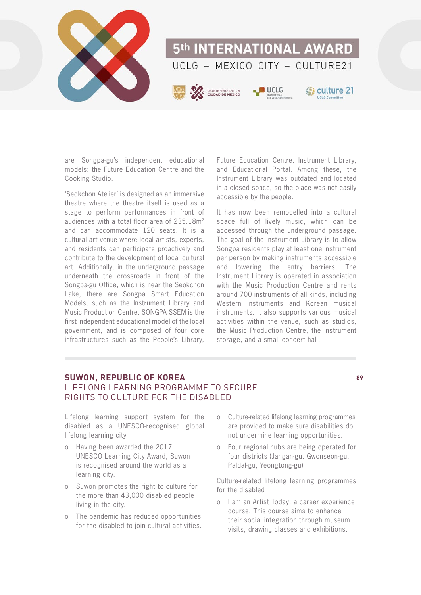

are Songpa-gu's independent educational models: the Future Education Centre and the Cooking Studio.

'Seokchon Atelier' is designed as an immersive theatre where the theatre itself is used as a stage to perform performances in front of audiences with a total floor area of 235.18m2 and can accommodate 120 seats. It is a cultural art venue where local artists, experts, and residents can participate proactively and contribute to the development of local cultural art. Additionally, in the underground passage underneath the crossroads in front of the Songpa-gu Office, which is near the Seokchon Lake, there are Songpa Smart Education Models, such as the Instrument Library and Music Production Centre. SONGPA SSEM is the first independent educational model of the local government, and is composed of four core infrastructures such as the People's Library,

Future Education Centre, Instrument Library, and Educational Portal. Among these, the Instrument Library was outdated and located in a closed space, so the place was not easily accessible by the people.

It has now been remodelled into a cultural space full of lively music, which can be accessed through the underground passage. The goal of the Instrument Library is to allow Songpa residents play at least one instrument per person by making instruments accessible and lowering the entry barriers. The Instrument Library is operated in association with the Music Production Centre and rents around 700 instruments of all kinds, including Western instruments and Korean musical instruments. It also supports various musical activities within the venue, such as studios, the Music Production Centre, the instrument storage, and a small concert hall.

# **SUWON, REPUBLIC OF KOREA** LIFELONG LEARNING PROGRAMME TO SECURE RIGHTS TO CULTURE FOR THE DISABLED

**89**

Lifelong learning support system for the disabled as a UNESCO-recognised global lifelong learning city

- o Having been awarded the 2017 UNESCO Learning City Award, Suwon is recognised around the world as a learning city.
- o Suwon promotes the right to culture for the more than 43,000 disabled people living in the city.
- o The pandemic has reduced opportunities for the disabled to join cultural activities.
- o Culture-related lifelong learning programmes are provided to make sure disabilities do not undermine learning opportunities.
- o Four regional hubs are being operated for four districts (Jangan-gu, Gwonseon-gu, Paldal-gu, Yeongtong-gu)

Culture-related lifelong learning programmes for the disabled

o I am an Artist Today: a career experience course. This course aims to enhance their social integration through museum visits, drawing classes and exhibitions.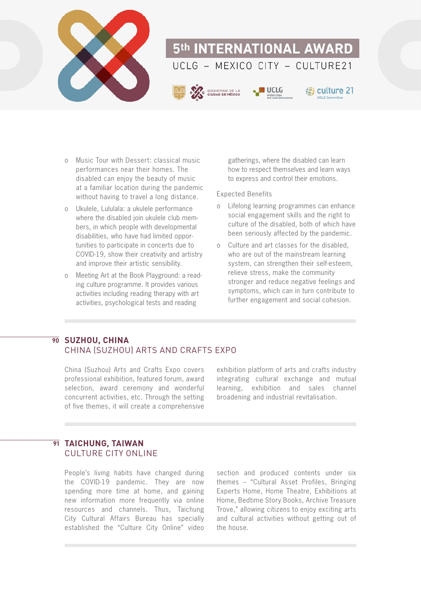

- o Music Tour with Dessert: classical music performances near their homes. The disabled can enjoy the beauty of music at a familiar location during the pandemic without having to travel a long distance.
- o Ukulele, Lululala: a ukulele performance where the disabled join ukulele club members, in which people with developmental disabilities, who have had limited opportunities to participate in concerts due to COVID-19, show their creativity and artistry and improve their artistic sensibility.
- o Meeting Art at the Book Playground: a reading culture programme. It provides various activities including reading therapy with art activities, psychological tests and reading

gatherings, where the disabled can learn how to respect themselves and learn ways to express and control their emotions.

#### Expected Benefits

- o Lifelong learning programmes can enhance social engagement skills and the right to culture of the disabled, both of which have been seriously affected by the pandemic.
- o Culture and art classes for the disabled, who are out of the mainstream learning system, can strengthen their self-esteem, relieve stress, make the community stronger and reduce negative feelings and symptoms, which can in turn contribute to further engagement and social cohesion.

# $\overline{90}$  SUZHOU, CHINA CHINA (SUZHOU) ARTS AND CRAFTS EXPO

China (Suzhou) Arts and Crafts Expo covers professional exhibition, featured forum, award selection, award ceremony and wonderful concurrent activities, etc. Through the setting of five themes, it will create a comprehensive

exhibition platform of arts and crafts industry integrating cultural exchange and mutual learning, exhibition and sales channel broadening and industrial revitalisation.

# **TAICHUNG, TAIWAN 91**CULTURE CITY ONLINE

People's living habits have changed during the COVID-19 pandemic. They are now spending more time at home, and gaining new information more frequently via online resources and channels. Thus, Taichung City Cultural Affairs Bureau has specially established the "Culture City Online" video

section and produced contents under six themes -- "Cultural Asset Profiles, Bringing Experts Home, Home Theatre, Exhibitions at Home, Bedtime Story Books, Archive Treasure Trove," allowing citizens to enjoy exciting arts and cultural activities without getting out of the house.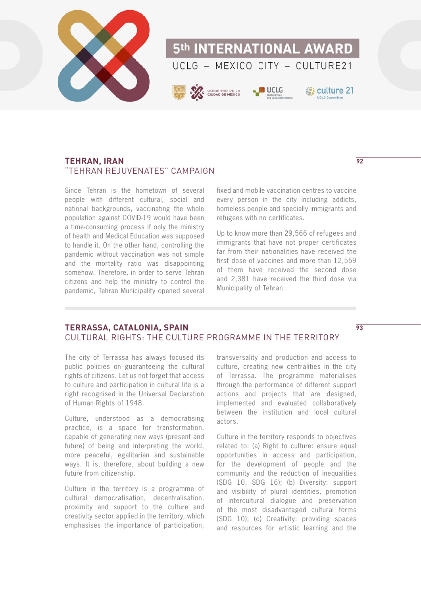

#### **TEHRAN, IRAN** "TEHRAN REJUVENATES" CAMPAIGN

Since Tehran is the hometown of several people with different cultural, social and national backgrounds, vaccinating the whole population against COVID-19 would have been a time-consuming process if only the ministry of health and Medical Education was supposed to handle it. On the other hand, controlling the pandemic without vaccination was not simple and the mortality ratio was disappointing somehow. Therefore, in order to serve Tehran citizens and help the ministry to control the pandemic, Tehran Municipality opened several

fixed and mobile vaccination centres to vaccine every person in the city including addicts, homeless people and specially immigrants and refugees with no certificates.

Up to know more than 29,566 of refugees and immigrants that have not proper certificates far from their nationalities have received the first dose of vaccines and more than 12,559 of them have received the second dose and 2,381 have received the third dose via Municipality of Tehran.

# **TERRASSA, CATALONIA, SPAIN** CULTURAL RIGHTS: THE CULTURE PROGRAMME IN THE TERRITORY

The city of Terrassa has always focused its public policies on guaranteeing the cultural rights of citizens. Let us not forget that access to culture and participation in cultural life is a right recognised in the Universal Declaration of Human Rights of 1948.

Culture, understood as a democratising practice, is a space for transformation, capable of generating new ways (present and future) of being and interpreting the world, more peaceful, egalitarian and sustainable ways. It is, therefore, about building a new future from citizenship.

Culture in the territory is a programme of cultural democratisation, decentralisation, proximity and support to the culture and creativity sector applied in the territory, which emphasises the importance of participation,

transversality and production and access to culture, creating new centralities in the city of Terrassa. The programme materialises through the performance of different support actions and projects that are designed, implemented and evaluated collaboratively between the institution and local cultural actors.

Culture in the territory responds to objectives related to: (a) Right to culture: ensure equal opportunities in access and participation, for the development of people and the community and the reduction of inequalities (SDG 10, SDG 16); (b) Diversity: support and visibility of plural identities, promotion of intercultural dialogue and preservation of the most disadvantaged cultural forms (SDG 10); (c) Creativity: providing spaces and resources for artistic learning and the

**92**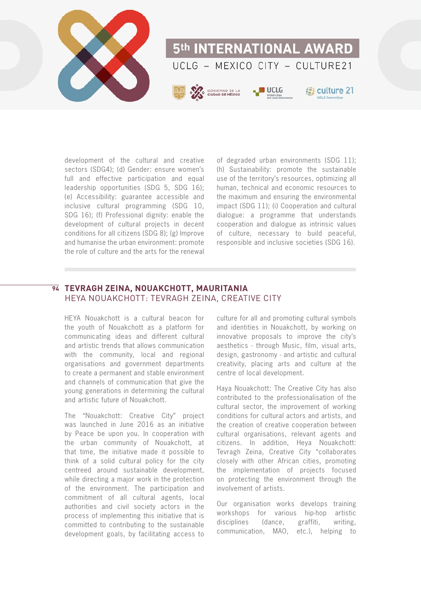

development of the cultural and creative sectors (SDG4); (d) Gender: ensure women's full and effective participation and equal leadership opportunities (SDG 5, SDG 16); (e) Accessibility: guarantee accessible and inclusive cultural programming (SDG 10, SDG 16); (f) Professional dignity: enable the development of cultural projects in decent conditions for all citizens (SDG 8); (g) Improve and humanise the urban environment: promote the role of culture and the arts for the renewal

of degraded urban environments (SDG 11); (h) Sustainability: promote the sustainable use of the territory's resources, optimizing all human, technical and economic resources to the maximum and ensuring the environmental impact (SDG 11); (i) Cooperation and cultural dialogue: a programme that understands cooperation and dialogue as intrinsic values of culture, necessary to build peaceful, responsible and inclusive societies (SDG 16).

# **TEVRAGH ZEINA, NOUAKCHOTT, MAURITANIA 94** HEYA NOUAKCHOTT: TEVRAGH ZEINA, CREATIVE CITY

HEYA Nouakchott is a cultural beacon for the youth of Nouakchott as a platform for communicating ideas and different cultural and artistic trends that allows communication with the community, local and regional organisations and government departments to create a permanent and stable environment and channels of communication that give the young generations in determining the cultural and artistic future of Nouakchott.

The "Nouakchott: Creative City" project was launched in June 2016 as an initiative by Peace be upon you. In cooperation with the urban community of Nouakchott, at that time, the initiative made it possible to think of a solid cultural policy for the city centreed around sustainable development, while directing a major work in the protection of the environment. The participation and commitment of all cultural agents, local authorities and civil society actors in the process of implementing this initiative that is committed to contributing to the sustainable development goals, by facilitating access to

culture for all and promoting cultural symbols and identities in Nouakchott, by working on innovative proposals to improve the city's aesthetics - through Music, film, visual arts, design, gastronomy - and artistic and cultural creativity, placing arts and culture at the centre of local development.

Haya Nouakchott: The Creative City has also contributed to the professionalisation of the cultural sector, the improvement of working conditions for cultural actors and artists, and the creation of creative cooperation between cultural organisations, relevant agents and citizens. In addition, Heya Nouakchott: Tevragh Zeina, Creative City "collaborates closely with other African cities, promoting the implementation of projects focused on protecting the environment through the involvement of artists.

Our organisation works develops training workshops for various hip-hop artistic disciplines (dance, graffiti, writing, communication, MAO, etc.), helping to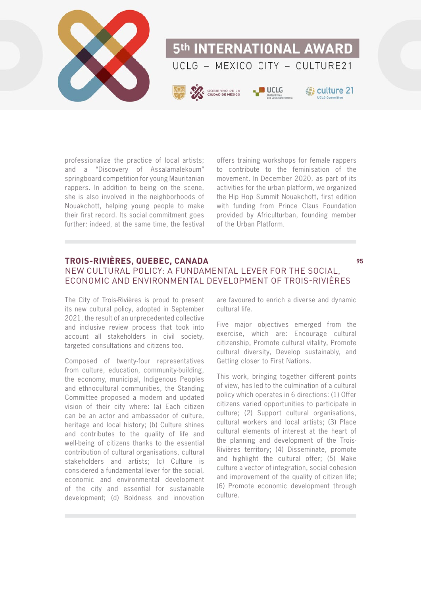

professionalize the practice of local artists; and a "Discovery of Assalamalekoum" springboard competition for young Mauritanian rappers. In addition to being on the scene, she is also involved in the neighborhoods of Nouakchott, helping young people to make their first record. Its social commitment goes further: indeed, at the same time, the festival

offers training workshops for female rappers to contribute to the feminisation of the movement. In December 2020, as part of its activities for the urban platform, we organized the Hip Hop Summit Nouakchott, first edition with funding from Prince Claus Foundation provided by Africulturban, founding member of the Urban Platform.

# **TROIS-RIVIÈRES, QUEBEC, CANADA** NEW CULTURAL POLICY: A FUNDAMENTAL LEVER FOR THE SOCIAL, ECONOMIC AND ENVIRONMENTAL DEVELOPMENT OF TROIS-RIVIÈRES

The City of Trois-Rivières is proud to present its new cultural policy, adopted in September 2021, the result of an unprecedented collective and inclusive review process that took into account all stakeholders in civil society, targeted consultations and citizens too.

Composed of twenty-four representatives from culture, education, community-building, the economy, municipal, Indigenous Peoples and ethnocultural communities, the Standing Committee proposed a modern and updated vision of their city where: (a) Each citizen can be an actor and ambassador of culture, heritage and local history; (b) Culture shines and contributes to the quality of life and well-being of citizens thanks to the essential contribution of cultural organisations, cultural stakeholders and artists; (c) Culture is considered a fundamental lever for the social, economic and environmental development of the city and essential for sustainable development; (d) Boldness and innovation are favoured to enrich a diverse and dynamic cultural life.

**95**

Five major objectives emerged from the exercise, which are: Encourage cultural citizenship, Promote cultural vitality, Promote cultural diversity, Develop sustainably, and Getting closer to First Nations.

This work, bringing together different points of view, has led to the culmination of a cultural policy which operates in 6 directions: (1) Offer citizens varied opportunities to participate in culture; (2) Support cultural organisations, cultural workers and local artists; (3) Place cultural elements of interest at the heart of the planning and development of the Trois-Rivières territory; (4) Disseminate, promote and highlight the cultural offer; (5) Make culture a vector of integration, social cohesion and improvement of the quality of citizen life; (6) Promote economic development through culture.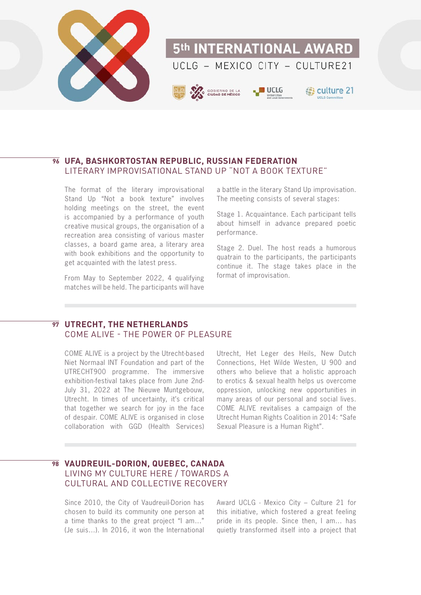

### **UFA, BASHKORTOSTAN REPUBLIC, RUSSIAN FEDERATION 96** LITERARY IMPROVISATIONAL STAND UP "NOT A BOOK TEXTURE"

The format of the literary improvisational Stand Up "Not a book texture" involves holding meetings on the street, the event is accompanied by a performance of youth creative musical groups, the organisation of a recreation area consisting of various master classes, a board game area, a literary area with book exhibitions and the opportunity to get acquainted with the latest press.

From May to September 2022, 4 qualifying matches will be held. The participants will have

a battle in the literary Stand Up improvisation. The meeting consists of several stages:

Stage 1. Acquaintance. Each participant tells about himself in advance prepared poetic performance.

Stage 2. Duel. The host reads a humorous quatrain to the participants, the participants continue it. The stage takes place in the format of improvisation.

# **UTRECHT, THE NETHERLANDS 97** COME ALIVE - THE POWER OF PLEASURE

COME ALIVE is a project by the Utrecht-based Niet Normaal INT Foundation and part of the UTRECHT900 programme. The immersive exhibition-festival takes place from June 2nd-July 31, 2022 at The Nieuwe Muntgebouw, Utrecht. In times of uncertainty, it's critical that together we search for joy in the face of despair. COME ALIVE is organised in close collaboration with GGD (Health Services)

Utrecht, Het Leger des Heils, New Dutch Connections, Het Wilde Westen, U 900 and others who believe that a holistic approach to erotics & sexual health helps us overcome oppression, unlocking new opportunities in many areas of our personal and social lives. COME ALIVE revitalises a campaign of the Utrecht Human Rights Coalition in 2014: "Safe Sexual Pleasure is a Human Right".

# **VAUDREUIL-DORION, QUEBEC, CANADA 98** LIVING MY CULTURE HERE / TOWARDS A CULTURAL AND COLLECTIVE RECOVERY

Since 2010, the City of Vaudreuil-Dorion has chosen to build its community one person at a time thanks to the great project "I am…" (Je suis…). In 2016, it won the International Award UCLG - Mexico City – Culture 21 for this initiative, which fostered a great feeling pride in its people. Since then, I am… has quietly transformed itself into a project that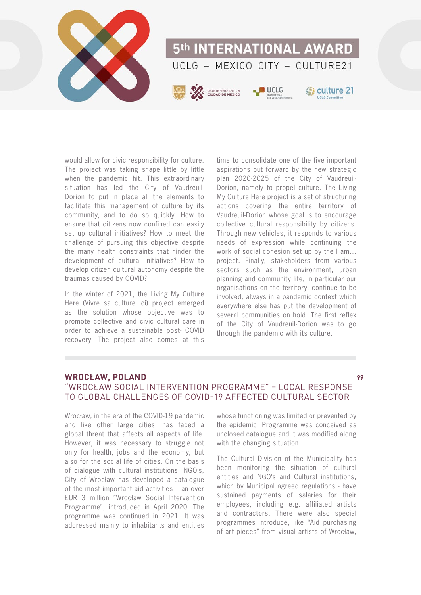

would allow for civic responsibility for culture. The project was taking shape little by little when the pandemic hit. This extraordinary situation has led the City of Vaudreuil-Dorion to put in place all the elements to facilitate this management of culture by its community, and to do so quickly. How to ensure that citizens now confined can easily set up cultural initiatives? How to meet the challenge of pursuing this objective despite the many health constraints that hinder the development of cultural initiatives? How to develop citizen cultural autonomy despite the traumas caused by COVID?

In the winter of 2021, the Living My Culture Here (Vivre sa culture ici) project emerged as the solution whose objective was to promote collective and civic cultural care in order to achieve a sustainable post- COVID recovery. The project also comes at this

time to consolidate one of the five important aspirations put forward by the new strategic plan 2020-2025 of the City of Vaudreuil-Dorion, namely to propel culture. The Living My Culture Here project is a set of structuring actions covering the entire territory of Vaudreuil-Dorion whose goal is to encourage collective cultural responsibility by citizens. Through new vehicles, it responds to various needs of expression while continuing the work of social cohesion set up by the I am… project. Finally, stakeholders from various sectors such as the environment, urban planning and community life, in particular our organisations on the territory, continue to be involved, always in a pandemic context which everywhere else has put the development of several communities on hold. The first reflex of the City of Vaudreuil-Dorion was to go through the pandemic with its culture.

# **WROCŁAW, POLAND**

# "WROCŁAW SOCIAL INTERVENTION PROGRAMME" – LOCAL RESPONSE TO GLOBAL CHALLENGES OF COVID-19 AFFECTED CULTURAL SECTOR

Wrocław, in the era of the COVID-19 pandemic and like other large cities, has faced a global threat that affects all aspects of life. However, it was necessary to struggle not only for health, jobs and the economy, but also for the social life of cities. On the basis of dialogue with cultural institutions, NGO's, City of Wrocław has developed a catalogue of the most important aid activities – an over EUR 3 million "Wrocław Social Intervention Programme", introduced in April 2020. The programme was continued in 2021. It was addressed mainly to inhabitants and entities

whose functioning was limited or prevented by the epidemic. Programme was conceived as unclosed catalogue and it was modified along with the changing situation.

The Cultural Division of the Municipality has been monitoring the situation of cultural entities and NGO's and Cultural institutions, which by Municipal agreed regulations - have sustained payments of salaries for their employees, including e.g. affiliated artists and contractors. There were also special programmes introduce, like "Aid purchasing of art pieces" from visual artists of Wrocław,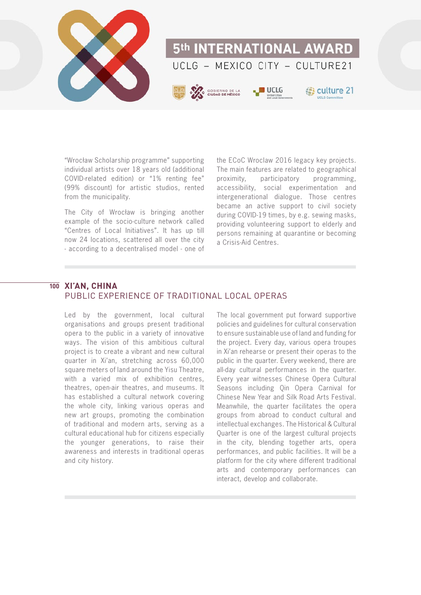

"Wrocław Scholarship programme" supporting individual artists over 18 years old (additional COVID-related edition) or "1% renting fee" (99% discount) for artistic studios, rented from the municipality.

The City of Wrocław is bringing another example of the socio-culture network called "Centres of Local Initiatives". It has up till now 24 locations, scattered all over the city - according to a decentralised model - one of

the ECoC Wroclaw 2016 legacy key projects. The main features are related to geographical proximity, participatory programming, accessibility, social experimentation and intergenerational dialogue. Those centres became an active support to civil society during COVID-19 times, by e.g. sewing masks, providing volunteering support to elderly and persons remaining at quarantine or becoming a Crisis-Aid Centres.

#### **XI'AN, CHINA 100**PUBLIC EXPERIENCE OF TRADITIONAL LOCAL OPERAS

Led by the government, local cultural organisations and groups present traditional opera to the public in a variety of innovative ways. The vision of this ambitious cultural project is to create a vibrant and new cultural quarter in Xi'an, stretching across 60,000 square meters of land around the Yisu Theatre, with a varied mix of exhibition centres, theatres, open-air theatres, and museums. It has established a cultural network covering the whole city, linking various operas and new art groups, promoting the combination of traditional and modern arts, serving as a cultural educational hub for citizens especially the younger generations, to raise their awareness and interests in traditional operas and city history.

The local government put forward supportive policies and guidelines for cultural conservation to ensure sustainable use of land and funding for the project. Every day, various opera troupes in Xi'an rehearse or present their operas to the public in the quarter. Every weekend, there are all-day cultural performances in the quarter. Every year witnesses Chinese Opera Cultural Seasons including Qin Opera Carnival for Chinese New Year and Silk Road Arts Festival. Meanwhile, the quarter facilitates the opera groups from abroad to conduct cultural and intellectual exchanges. The Historical & Cultural Quarter is one of the largest cultural projects in the city, blending together arts, opera performances, and public facilities. It will be a platform for the city where different traditional arts and contemporary performances can interact, develop and collaborate.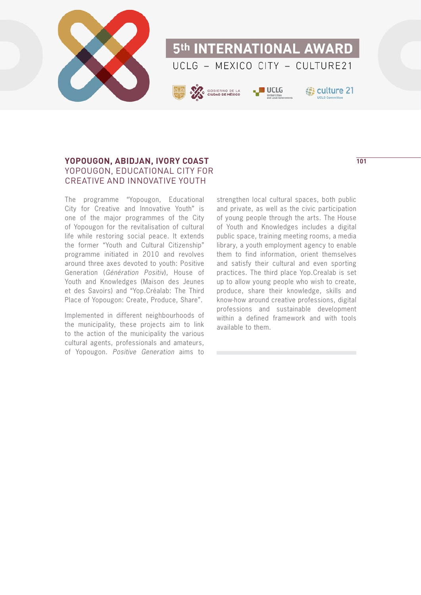

# **YOPOUGON, ABIDJAN, IVORY COAST** YOPOUGON, EDUCATIONAL CITY FOR CREATIVE AND INNOVATIVE YOUTH

The programme "Yopougon, Educational City for Creative and Innovative Youth" is one of the major programmes of the City of Yopougon for the revitalisation of cultural life while restoring social peace. It extends the former "Youth and Cultural Citizenship" programme initiated in 2010 and revolves around three axes devoted to youth: Positive Generation (Génération Positiv), House of Youth and Knowledges (Maison des Jeunes et des Savoirs) and "Yop.Créalab: The Third Place of Yopougon: Create, Produce, Share".

Implemented in different neighbourhoods of the municipality, these projects aim to link to the action of the municipality the various cultural agents, professionals and amateurs, of Yopougon. Positive Generation aims to

strengthen local cultural spaces, both public and private, as well as the civic participation of young people through the arts. The House of Youth and Knowledges includes a digital public space, training meeting rooms, a media library, a youth employment agency to enable them to find information, orient themselves and satisfy their cultural and even sporting practices. The third place Yop.Crealab is set up to allow young people who wish to create, produce, share their knowledge, skills and know-how around creative professions, digital professions and sustainable development within a defined framework and with tools available to them.